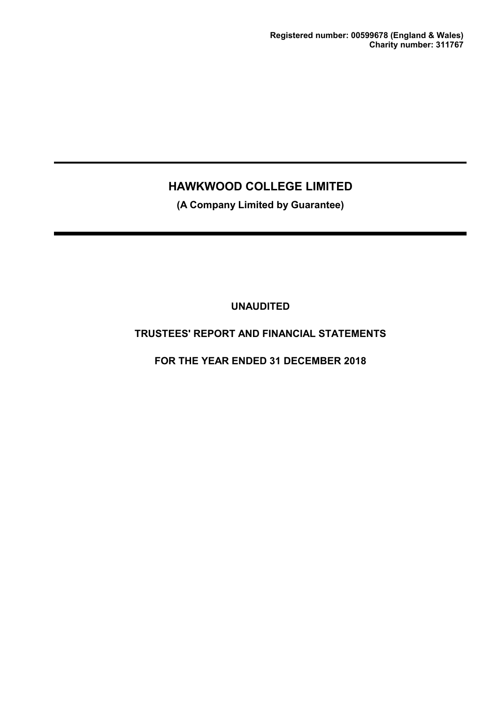**(A Company Limited by Guarantee)**

**UNAUDITED**

# **TRUSTEES' REPORT AND FINANCIAL STATEMENTS**

**FOR THE YEAR ENDED 31 DECEMBER 2018**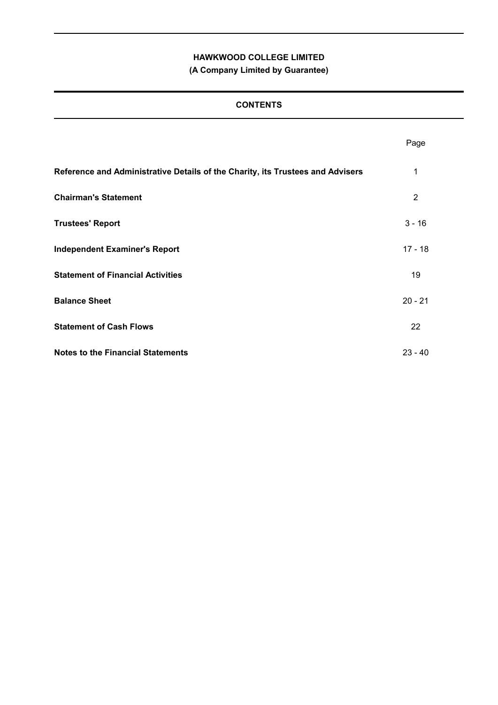# **(A Company Limited by Guarantee)**

# **CONTENTS**

|                                                                                | Page      |
|--------------------------------------------------------------------------------|-----------|
| Reference and Administrative Details of the Charity, its Trustees and Advisers | 1         |
| <b>Chairman's Statement</b>                                                    | 2         |
| <b>Trustees' Report</b>                                                        | $3 - 16$  |
| <b>Independent Examiner's Report</b>                                           | $17 - 18$ |
| <b>Statement of Financial Activities</b>                                       | 19        |
| <b>Balance Sheet</b>                                                           | $20 - 21$ |
| <b>Statement of Cash Flows</b>                                                 | 22        |
| <b>Notes to the Financial Statements</b>                                       | $23 - 40$ |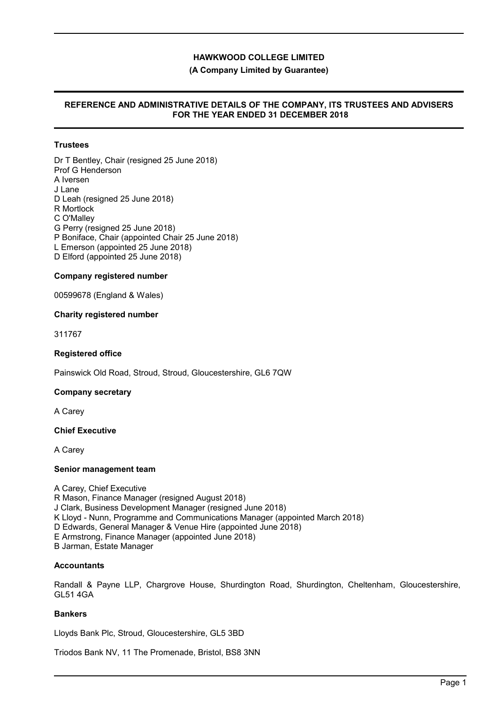### **(A Company Limited by Guarantee)**

### **REFERENCE AND ADMINISTRATIVE DETAILS OF THE COMPANY, ITS TRUSTEES AND ADVISERS FOR THE YEAR ENDED 31 DECEMBER 2018**

# **Trustees**

Dr T Bentley, Chair (resigned 25 June 2018) Prof G Henderson A Iversen J Lane D Leah (resigned 25 June 2018) R Mortlock C O'Malley G Perry (resigned 25 June 2018) P Boniface, Chair (appointed Chair 25 June 2018) L Emerson (appointed 25 June 2018) D Elford (appointed 25 June 2018)

#### **Company registered number**

00599678 (England & Wales)

#### **Charity registered number**

311767

### **Registered office**

Painswick Old Road, Stroud, Stroud, Gloucestershire, GL6 7QW

#### **Company secretary**

A Carey

#### **Chief Executive**

A Carey

#### **Senior management team**

A Carey, Chief Executive R Mason, Finance Manager (resigned August 2018) J Clark, Business Development Manager (resigned June 2018) K Lloyd - Nunn, Programme and Communications Manager (appointed March 2018) D Edwards, General Manager & Venue Hire (appointed June 2018) E Armstrong, Finance Manager (appointed June 2018) B Jarman, Estate Manager

## **Accountants**

Randall & Payne LLP, Chargrove House, Shurdington Road, Shurdington, Cheltenham, Gloucestershire, GL51 4GA

## **Bankers**

Lloyds Bank Plc, Stroud, Gloucestershire, GL5 3BD

Triodos Bank NV, 11 The Promenade, Bristol, BS8 3NN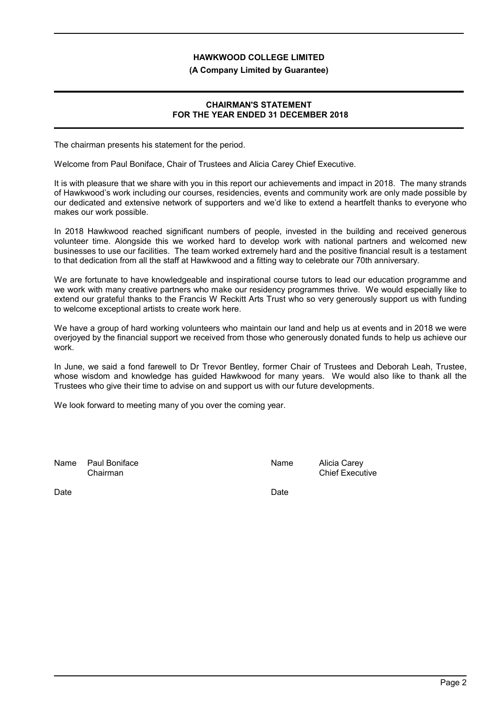#### **(A Company Limited by Guarantee)**

#### **CHAIRMAN'S STATEMENT FOR THE YEAR ENDED 31 DECEMBER 2018**

The chairman presents his statement for the period.

Welcome from Paul Boniface, Chair of Trustees and Alicia Carey Chief Executive.

It is with pleasure that we share with you in this report our achievements and impact in 2018. The many strands of Hawkwood's work including our courses, residencies, events and community work are only made possible by our dedicated and extensive network of supporters and we'd like to extend a heartfelt thanks to everyone who makes our work possible.

In 2018 Hawkwood reached significant numbers of people, invested in the building and received generous volunteer time. Alongside this we worked hard to develop work with national partners and welcomed new businesses to use our facilities. The team worked extremely hard and the positive financial result is a testament to that dedication from all the staff at Hawkwood and a fitting way to celebrate our 70th anniversary.

We are fortunate to have knowledgeable and inspirational course tutors to lead our education programme and we work with many creative partners who make our residency programmes thrive. We would especially like to extend our grateful thanks to the Francis W Reckitt Arts Trust who so very generously support us with funding to welcome exceptional artists to create work here.

We have a group of hard working volunteers who maintain our land and help us at events and in 2018 we were overjoyed by the financial support we received from those who generously donated funds to help us achieve our work.

In June, we said a fond farewell to Dr Trevor Bentley, former Chair of Trustees and Deborah Leah, Trustee, whose wisdom and knowledge has guided Hawkwood for many years. We would also like to thank all the Trustees who give their time to advise on and support us with our future developments.

We look forward to meeting many of you over the coming year.

Name Paul Boniface Name Alicia Carey

Chairman Chairman Chairman Chief Executive

Date **Date Date Date Date Date Date**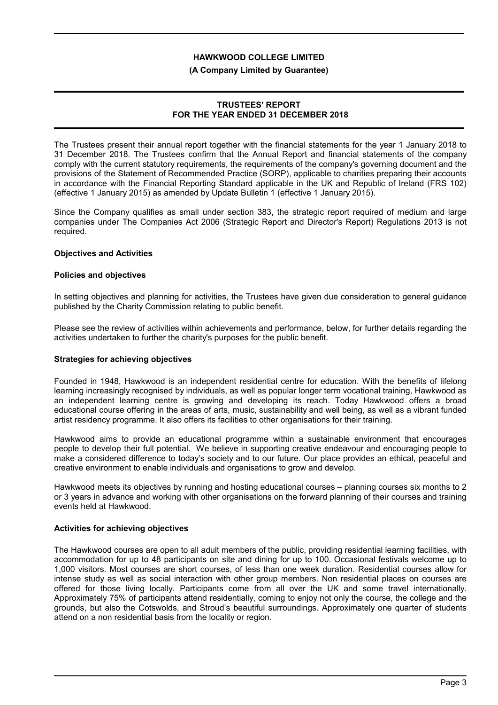### **(A Company Limited by Guarantee)**

### **TRUSTEES' REPORT FOR THE YEAR ENDED 31 DECEMBER 2018**

The Trustees present their annual report together with the financial statements for the year 1 January 2018 to 31 December 2018. The Trustees confirm that the Annual Report and financial statements of the company comply with the current statutory requirements, the requirements of the company's governing document and the provisions of the Statement of Recommended Practice (SORP), applicable to charities preparing their accounts in accordance with the Financial Reporting Standard applicable in the UK and Republic of Ireland (FRS 102) (effective 1 January 2015) as amended by Update Bulletin 1 (effective 1 January 2015).

Since the Company qualifies as small under section 383, the strategic report required of medium and large companies under The Companies Act 2006 (Strategic Report and Director's Report) Regulations 2013 is not required.

### **Objectives and Activities**

### **Policies and objectives**

In setting objectives and planning for activities, the Trustees have given due consideration to general guidance published by the Charity Commission relating to public benefit.

Please see the review of activities within achievements and performance, below, for further details regarding the activities undertaken to further the charity's purposes for the public benefit.

#### **Strategies for achieving objectives**

Founded in 1948, Hawkwood is an independent residential centre for education. With the benefits of lifelong learning increasingly recognised by individuals, as well as popular longer term vocational training, Hawkwood as an independent learning centre is growing and developing its reach. Today Hawkwood offers a broad educational course offering in the areas of arts, music, sustainability and well being, as well as a vibrant funded artist residency programme. It also offers its facilities to other organisations for their training.

Hawkwood aims to provide an educational programme within a sustainable environment that encourages people to develop their full potential. We believe in supporting creative endeavour and encouraging people to make a considered difference to today's society and to our future. Our place provides an ethical, peaceful and creative environment to enable individuals and organisations to grow and develop.

Hawkwood meets its objectives by running and hosting educational courses – planning courses six months to 2 or 3 years in advance and working with other organisations on the forward planning of their courses and training events held at Hawkwood.

## **Activities for achieving objectives**

The Hawkwood courses are open to all adult members of the public, providing residential learning facilities, with accommodation for up to 48 participants on site and dining for up to 100. Occasional festivals welcome up to 1,000 visitors. Most courses are short courses, of less than one week duration. Residential courses allow for intense study as well as social interaction with other group members. Non residential places on courses are offered for those living locally. Participants come from all over the UK and some travel internationally. Approximately 75% of participants attend residentially, coming to enjoy not only the course, the college and the grounds, but also the Cotswolds, and Stroud's beautiful surroundings. Approximately one quarter of students attend on a non residential basis from the locality or region.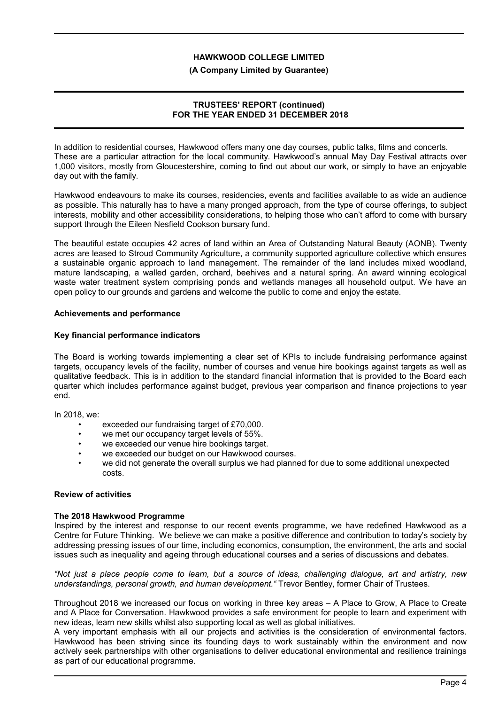### **(A Company Limited by Guarantee)**

### **TRUSTEES' REPORT (continued) FOR THE YEAR ENDED 31 DECEMBER 2018**

In addition to residential courses, Hawkwood offers many one day courses, public talks, films and concerts. These are a particular attraction for the local community. Hawkwood's annual May Day Festival attracts over 1,000 visitors, mostly from Gloucestershire, coming to find out about our work, or simply to have an enjoyable day out with the family.

Hawkwood endeavours to make its courses, residencies, events and facilities available to as wide an audience as possible. This naturally has to have a many pronged approach, from the type of course offerings, to subject interests, mobility and other accessibility considerations, to helping those who can't afford to come with bursary support through the Eileen Nesfield Cookson bursary fund.

The beautiful estate occupies 42 acres of land within an Area of Outstanding Natural Beauty (AONB). Twenty acres are leased to Stroud Community Agriculture, a community supported agriculture collective which ensures a sustainable organic approach to land management. The remainder of the land includes mixed woodland, mature landscaping, a walled garden, orchard, beehives and a natural spring. An award winning ecological waste water treatment system comprising ponds and wetlands manages all household output. We have an open policy to our grounds and gardens and welcome the public to come and enjoy the estate.

### **Achievements and performance**

### **Key financial performance indicators**

The Board is working towards implementing a clear set of KPIs to include fundraising performance against targets, occupancy levels of the facility, number of courses and venue hire bookings against targets as well as qualitative feedback. This is in addition to the standard financial information that is provided to the Board each quarter which includes performance against budget, previous year comparison and finance projections to year end.

In 2018, we:

- exceeded our fundraising target of £70,000.
- we met our occupancy target levels of 55%.
- we exceeded our venue hire bookings target.
- we exceeded our budget on our Hawkwood courses.
- we did not generate the overall surplus we had planned for due to some additional unexpected costs.

# **Review of activities**

#### **The 2018 Hawkwood Programme**

Inspired by the interest and response to our recent events programme, we have redefined Hawkwood as a Centre for Future Thinking. We believe we can make a positive difference and contribution to today's society by addressing pressing issues of our time, including economics, consumption, the environment, the arts and social issues such as inequality and ageing through educational courses and a series of discussions and debates.

*"Not just a place people come to learn, but a source of ideas, challenging dialogue, art and artistry, new understandings, personal growth, and human development."* Trevor Bentley, former Chair of Trustees.

Throughout 2018 we increased our focus on working in three key areas – A Place to Grow, A Place to Create and A Place for Conversation. Hawkwood provides a safe environment for people to learn and experiment with new ideas, learn new skills whilst also supporting local as well as global initiatives.

A very important emphasis with all our projects and activities is the consideration of environmental factors. Hawkwood has been striving since its founding days to work sustainably within the environment and now actively seek partnerships with other organisations to deliver educational environmental and resilience trainings as part of our educational programme.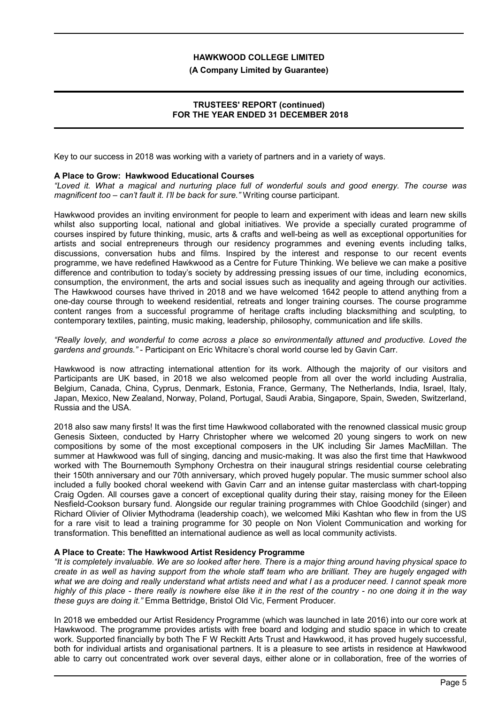#### **(A Company Limited by Guarantee)**

## **TRUSTEES' REPORT (continued) FOR THE YEAR ENDED 31 DECEMBER 2018**

Key to our success in 2018 was working with a variety of partners and in a variety of ways.

### **A Place to Grow: Hawkwood Educational Courses**

*"Loved it. What a magical and nurturing place full of wonderful souls and good energy. The course was magnificent too – can't fault it. I'll be back for sure."* Writing course participant.

Hawkwood provides an inviting environment for people to learn and experiment with ideas and learn new skills whilst also supporting local, national and global initiatives. We provide a specially curated programme of courses inspired by future thinking, music, arts & crafts and well-being as well as exceptional opportunities for artists and social entrepreneurs through our residency programmes and evening events including talks, discussions, conversation hubs and films. Inspired by the interest and response to our recent events programme, we have redefined Hawkwood as a Centre for Future Thinking. We believe we can make a positive difference and contribution to today's society by addressing pressing issues of our time, including economics, consumption, the environment, the arts and social issues such as inequality and ageing through our activities. The Hawkwood courses have thrived in 2018 and we have welcomed 1642 people to attend anything from a one-day course through to weekend residential, retreats and longer training courses. The course programme content ranges from a successful programme of heritage crafts including blacksmithing and sculpting, to contemporary textiles, painting, music making, leadership, philosophy, communication and life skills.

*"Really lovely, and wonderful to come across a place so environmentally attuned and productive. Loved the gardens and grounds."* - Participant on Eric Whitacre's choral world course led by Gavin Carr.

Hawkwood is now attracting international attention for its work. Although the majority of our visitors and Participants are UK based, in 2018 we also welcomed people from all over the world including Australia, Belgium, Canada, China, Cyprus, Denmark, Estonia, France, Germany, The Netherlands, India, Israel, Italy, Japan, Mexico, New Zealand, Norway, Poland, Portugal, Saudi Arabia, Singapore, Spain, Sweden, Switzerland, Russia and the USA.

2018 also saw many firsts! It was the first time Hawkwood collaborated with the renowned classical music group Genesis Sixteen, conducted by Harry Christopher where we welcomed 20 young singers to work on new compositions by some of the most exceptional composers in the UK including Sir James MacMillan. The summer at Hawkwood was full of singing, dancing and music-making. It was also the first time that Hawkwood worked with The Bournemouth Symphony Orchestra on their inaugural strings residential course celebrating their 150th anniversary and our 70th anniversary, which proved hugely popular. The music summer school also included a fully booked choral weekend with Gavin Carr and an intense guitar masterclass with chart-topping Craig Ogden. All courses gave a concert of exceptional quality during their stay, raising money for the Eileen Nesfield-Cookson bursary fund. Alongside our regular training programmes with Chloe Goodchild (singer) and Richard Olivier of Olivier Mythodrama (leadership coach), we welcomed Miki Kashtan who flew in from the US for a rare visit to lead a training programme for 30 people on Non Violent Communication and working for transformation. This benefitted an international audience as well as local community activists.

#### **A Place to Create: The Hawkwood Artist Residency Programme**

*"It is completely invaluable. We are so looked after here. There is a major thing around having physical space to create in as well as having support from the whole staff team who are brilliant. They are hugely engaged with what we are doing and really understand what artists need and what I as a producer need. I cannot speak more highly of this place - there really is nowhere else like it in the rest of the country - no one doing it in the way these guys are doing it."* Emma Bettridge, Bristol Old Vic, Ferment Producer*.*

In 2018 we embedded our Artist Residency Programme (which was launched in late 2016) into our core work at Hawkwood. The programme provides artists with free board and lodging and studio space in which to create work. Supported financially by both The F W Reckitt Arts Trust and Hawkwood, it has proved hugely successful, both for individual artists and organisational partners. It is a pleasure to see artists in residence at Hawkwood able to carry out concentrated work over several days, either alone or in collaboration, free of the worries of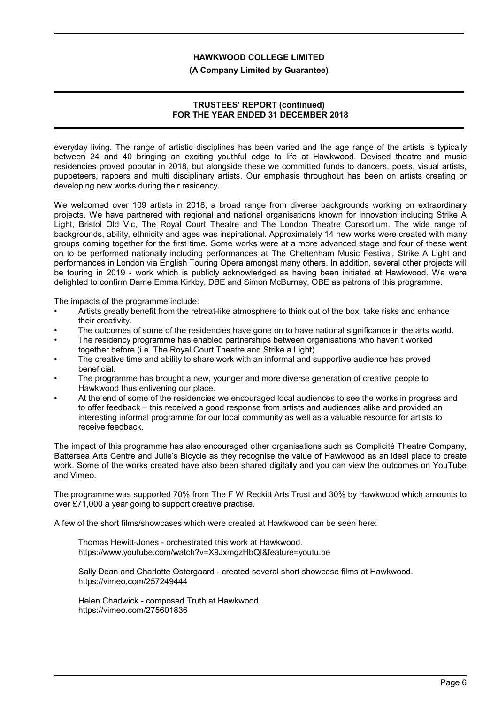#### **(A Company Limited by Guarantee)**

### **TRUSTEES' REPORT (continued) FOR THE YEAR ENDED 31 DECEMBER 2018**

everyday living. The range of artistic disciplines has been varied and the age range of the artists is typically between 24 and 40 bringing an exciting youthful edge to life at Hawkwood. Devised theatre and music residencies proved popular in 2018, but alongside these we committed funds to dancers, poets, visual artists, puppeteers, rappers and multi disciplinary artists. Our emphasis throughout has been on artists creating or developing new works during their residency.

We welcomed over 109 artists in 2018, a broad range from diverse backgrounds working on extraordinary projects. We have partnered with regional and national organisations known for innovation including Strike A Light, Bristol Old Vic, The Royal Court Theatre and The London Theatre Consortium. The wide range of backgrounds, ability, ethnicity and ages was inspirational. Approximately 14 new works were created with many groups coming together for the first time. Some works were at a more advanced stage and four of these went on to be performed nationally including performances at The Cheltenham Music Festival, Strike A Light and performances in London via English Touring Opera amongst many others. In addition, several other projects will be touring in 2019 - work which is publicly acknowledged as having been initiated at Hawkwood. We were delighted to confirm Dame Emma Kirkby, DBE and Simon McBurney, OBE as patrons of this programme.

The impacts of the programme include:

- Artists greatly benefit from the retreat-like atmosphere to think out of the box, take risks and enhance their creativity.
- The outcomes of some of the residencies have gone on to have national significance in the arts world.
- The residency programme has enabled partnerships between organisations who haven't worked together before (i.e. The Royal Court Theatre and Strike a Light).
- The creative time and ability to share work with an informal and supportive audience has proved beneficial.
- The programme has brought a new, younger and more diverse generation of creative people to Hawkwood thus enlivening our place.
- At the end of some of the residencies we encouraged local audiences to see the works in progress and to offer feedback – this received a good response from artists and audiences alike and provided an interesting informal programme for our local community as well as a valuable resource for artists to receive feedback.

The impact of this programme has also encouraged other organisations such as Complicité Theatre Company, Battersea Arts Centre and Julie's Bicycle as they recognise the value of Hawkwood as an ideal place to create work. Some of the works created have also been shared digitally and you can view the outcomes on YouTube and Vimeo.

The programme was supported 70% from The F W Reckitt Arts Trust and 30% by Hawkwood which amounts to over £71,000 a year going to support creative practise.

A few of the short films/showcases which were created at Hawkwood can be seen here:

Thomas Hewitt-Jones - orchestrated this work at Hawkwood. https://www.youtube.com/watch?v=X9JxmgzHbQI&feature=youtu.be

Sally Dean and Charlotte Ostergaard - created several short showcase films at Hawkwood. https://vimeo.com/257249444

Helen Chadwick - composed Truth at Hawkwood. https://vimeo.com/275601836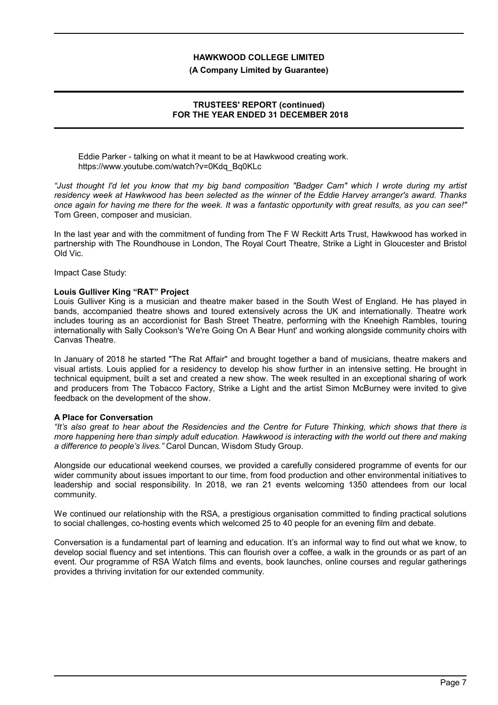#### **(A Company Limited by Guarantee)**

### **TRUSTEES' REPORT (continued) FOR THE YEAR ENDED 31 DECEMBER 2018**

Eddie Parker - talking on what it meant to be at Hawkwood creating work. https://www.youtube.com/watch?v=0Kdq\_Bq0KLc

*"Just thought I'd let you know that my big band composition "Badger Cam" which I wrote during my artist residency week at Hawkwood has been selected as the winner of the Eddie Harvey arranger's award. Thanks once again for having me there for the week. It was a fantastic opportunity with great results, as you can see!"* Tom Green, composer and musician.

In the last year and with the commitment of funding from The F W Reckitt Arts Trust, Hawkwood has worked in partnership with The Roundhouse in London, The Royal Court Theatre, Strike a Light in Gloucester and Bristol Old Vic.

Impact Case Study:

### **Louis Gulliver King "RAT" Project**

Louis Gulliver King is a musician and theatre maker based in the South West of England. He has played in bands, accompanied theatre shows and toured extensively across the UK and internationally. Theatre work includes touring as an accordionist for Bash Street Theatre, performing with the Kneehigh Rambles, touring internationally with Sally Cookson's 'We're Going On A Bear Hunt' and working alongside community choirs with Canvas Theatre.

In January of 2018 he started "The Rat Affair" and brought together a band of musicians, theatre makers and visual artists. Louis applied for a residency to develop his show further in an intensive setting. He brought in technical equipment, built a set and created a new show. The week resulted in an exceptional sharing of work and producers from The Tobacco Factory, Strike a Light and the artist Simon McBurney were invited to give feedback on the development of the show.

## **A Place for Conversation**

*"It's also great to hear about the Residencies and the Centre for Future Thinking, which shows that there is more happening here than simply adult education. Hawkwood is interacting with the world out there and making a difference to people's lives."* Carol Duncan, Wisdom Study Group.

Alongside our educational weekend courses, we provided a carefully considered programme of events for our wider community about issues important to our time, from food production and other environmental initiatives to leadership and social responsibility. In 2018, we ran 21 events welcoming 1350 attendees from our local community.

We continued our relationship with the RSA, a prestigious organisation committed to finding practical solutions to social challenges, co-hosting events which welcomed 25 to 40 people for an evening film and debate.

Conversation is a fundamental part of learning and education. It's an informal way to find out what we know, to develop social fluency and set intentions. This can flourish over a coffee, a walk in the grounds or as part of an event. Our programme of RSA Watch films and events, book launches, online courses and regular gatherings provides a thriving invitation for our extended community.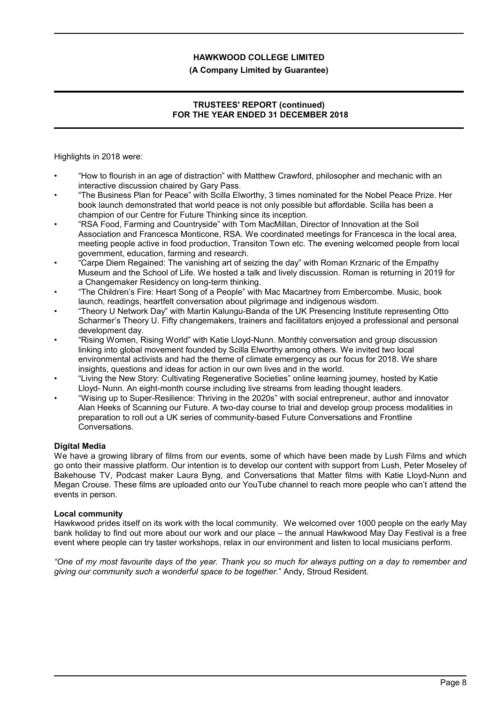# **(A Company Limited by Guarantee)**

# **TRUSTEES' REPORT (continued) FOR THE YEAR ENDED 31 DECEMBER 2018**

Highlights in 2018 were:

- "How to flourish in an age of distraction" with Matthew Crawford, philosopher and mechanic with an interactive discussion chaired by Gary Pass.
- "The Business Plan for Peace" with Scilla Elworthy, 3 times nominated for the Nobel Peace Prize. Her book launch demonstrated that world peace is not only possible but affordable. Scilla has been a champion of our Centre for Future Thinking since its inception.
- "RSA Food, Farming and Countryside" with Tom MacMillan, Director of Innovation at the Soil Association and Francesca Monticone, RSA. We coordinated meetings for Francesca in the local area, meeting people active in food production, Transiton Town etc. The evening welcomed people from local government, education, farming and research.
- "Carpe Diem Regained: The vanishing art of seizing the day" with Roman Krznaric of the Empathy Museum and the School of Life. We hosted a talk and lively discussion. Roman is returning in 2019 for a Changemaker Residency on long-term thinking.
- "The Children's Fire: Heart Song of a People" with Mac Macartney from Embercombe. Music, book launch, readings, heartfelt conversation about pilgrimage and indigenous wisdom.
- "Theory U Network Day" with Martin Kalungu-Banda of the UK Presencing Institute representing Otto Scharmer's Theory U. Fifty changemakers, trainers and facilitators enjoyed a professional and personal development day.
- "Rising Women, Rising World" with Katie Lloyd-Nunn. Monthly conversation and group discussion linking into global movement founded by Scilla Elworthy among others. We invited two local environmental activists and had the theme of climate emergency as our focus for 2018. We share insights, questions and ideas for action in our own lives and in the world.
- "Living the New Story: Cultivating Regenerative Societies" online learning journey, hosted by Katie Lloyd- Nunn. An eight-month course including live streams from leading thought leaders.
- "Wising up to Super-Resilience: Thriving in the 2020s" with social entrepreneur, author and innovator Alan Heeks of Scanning our Future. A two-day course to trial and develop group process modalities in preparation to roll out a UK series of community-based Future Conversations and Frontline Conversations.

## **Digital Media**

We have a growing library of films from our events, some of which have been made by Lush Films and which go onto their massive platform. Our intention is to develop our content with support from Lush, Peter Moseley of Bakehouse TV, Podcast maker Laura Byng, and Conversations that Matter films with Katie Lloyd-Nunn and Megan Crouse. These films are uploaded onto our YouTube channel to reach more people who can't attend the events in person.

## **Local community**

Hawkwood prides itself on its work with the local community. We welcomed over 1000 people on the early May bank holiday to find out more about our work and our place – the annual Hawkwood May Day Festival is a free event where people can try taster workshops, relax in our environment and listen to local musicians perform.

*"One of my most favourite days of the year. Thank you so much for always putting on a day to remember and giving our community such a wonderful space to be together.*" Andy, Stroud Resident.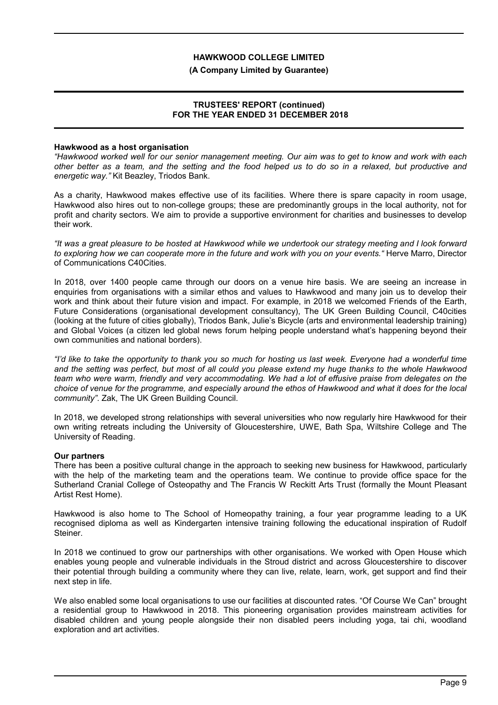#### **(A Company Limited by Guarantee)**

### **TRUSTEES' REPORT (continued) FOR THE YEAR ENDED 31 DECEMBER 2018**

#### **Hawkwood as a host organisation**

*"Hawkwood worked well for our senior management meeting. Our aim was to get to know and work with each other better as a team, and the setting and the food helped us to do so in a relaxed, but productive and energetic way."* Kit Beazley, Triodos Bank.

As a charity, Hawkwood makes effective use of its facilities. Where there is spare capacity in room usage, Hawkwood also hires out to non-college groups; these are predominantly groups in the local authority, not for profit and charity sectors. We aim to provide a supportive environment for charities and businesses to develop their work.

*"It was a great pleasure to be hosted at Hawkwood while we undertook our strategy meeting and I look forward to exploring how we can cooperate more in the future and work with you on your events."* Herve Marro, Director of Communications C40Cities.

In 2018, over 1400 people came through our doors on a venue hire basis. We are seeing an increase in enquiries from organisations with a similar ethos and values to Hawkwood and many join us to develop their work and think about their future vision and impact. For example, in 2018 we welcomed Friends of the Earth, Future Considerations (organisational development consultancy), The UK Green Building Council, C40cities (looking at the future of cities globally), Triodos Bank, Julie's Bicycle (arts and environmental leadership training) and Global Voices (a citizen led global news forum helping people understand what's happening beyond their own communities and national borders).

*"I'd like to take the opportunity to thank you so much for hosting us last week. Everyone had a wonderful time and the setting was perfect, but most of all could you please extend my huge thanks to the whole Hawkwood team who were warm, friendly and very accommodating. We had a lot of effusive praise from delegates on the choice of venue for the programme, and especially around the ethos of Hawkwood and what it does for the local community"*. Zak, The UK Green Building Council.

In 2018, we developed strong relationships with several universities who now regularly hire Hawkwood for their own writing retreats including the University of Gloucestershire, UWE, Bath Spa, Wiltshire College and The University of Reading.

#### **Our partners**

There has been a positive cultural change in the approach to seeking new business for Hawkwood, particularly with the help of the marketing team and the operations team. We continue to provide office space for the Sutherland Cranial College of Osteopathy and The Francis W Reckitt Arts Trust (formally the Mount Pleasant Artist Rest Home).

Hawkwood is also home to The School of Homeopathy training, a four year programme leading to a UK recognised diploma as well as Kindergarten intensive training following the educational inspiration of Rudolf Steiner.

In 2018 we continued to grow our partnerships with other organisations. We worked with Open House which enables young people and vulnerable individuals in the Stroud district and across Gloucestershire to discover their potential through building a community where they can live, relate, learn, work, get support and find their next step in life.

We also enabled some local organisations to use our facilities at discounted rates. "Of Course We Can" brought a residential group to Hawkwood in 2018. This pioneering organisation provides mainstream activities for disabled children and young people alongside their non disabled peers including yoga, tai chi, woodland exploration and art activities.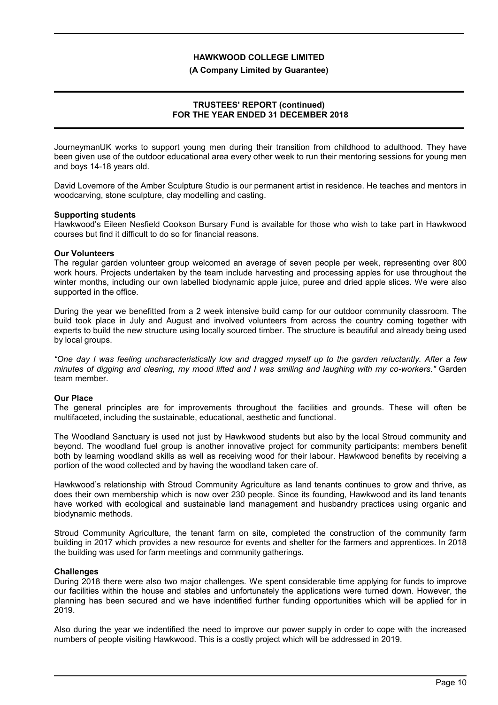#### **(A Company Limited by Guarantee)**

## **TRUSTEES' REPORT (continued) FOR THE YEAR ENDED 31 DECEMBER 2018**

JourneymanUK works to support young men during their transition from childhood to adulthood. They have been given use of the outdoor educational area every other week to run their mentoring sessions for young men and boys 14-18 years old.

David Lovemore of the Amber Sculpture Studio is our permanent artist in residence. He teaches and mentors in woodcarving, stone sculpture, clay modelling and casting.

#### **Supporting students**

Hawkwood's Eileen Nesfield Cookson Bursary Fund is available for those who wish to take part in Hawkwood courses but find it difficult to do so for financial reasons.

### **Our Volunteers**

The regular garden volunteer group welcomed an average of seven people per week, representing over 800 work hours. Projects undertaken by the team include harvesting and processing apples for use throughout the winter months, including our own labelled biodynamic apple juice, puree and dried apple slices. We were also supported in the office.

During the year we benefitted from a 2 week intensive build camp for our outdoor community classroom. The build took place in July and August and involved volunteers from across the country coming together with experts to build the new structure using locally sourced timber. The structure is beautiful and already being used by local groups.

*"One day I was feeling uncharacteristically low and dragged myself up to the garden reluctantly. After a few minutes of digging and clearing, my mood lifted and I was smiling and laughing with my co-workers."* Garden team member.

#### **Our Place**

The general principles are for improvements throughout the facilities and grounds. These will often be multifaceted, including the sustainable, educational, aesthetic and functional.

The Woodland Sanctuary is used not just by Hawkwood students but also by the local Stroud community and beyond. The woodland fuel group is another innovative project for community participants: members benefit both by learning woodland skills as well as receiving wood for their labour. Hawkwood benefits by receiving a portion of the wood collected and by having the woodland taken care of.

Hawkwood's relationship with Stroud Community Agriculture as land tenants continues to grow and thrive, as does their own membership which is now over 230 people. Since its founding, Hawkwood and its land tenants have worked with ecological and sustainable land management and husbandry practices using organic and biodynamic methods.

Stroud Community Agriculture, the tenant farm on site, completed the construction of the community farm building in 2017 which provides a new resource for events and shelter for the farmers and apprentices. In 2018 the building was used for farm meetings and community gatherings.

## **Challenges**

During 2018 there were also two major challenges. We spent considerable time applying for funds to improve our facilities within the house and stables and unfortunately the applications were turned down. However, the planning has been secured and we have indentified further funding opportunities which will be applied for in 2019.

Also during the year we indentified the need to improve our power supply in order to cope with the increased numbers of people visiting Hawkwood. This is a costly project which will be addressed in 2019.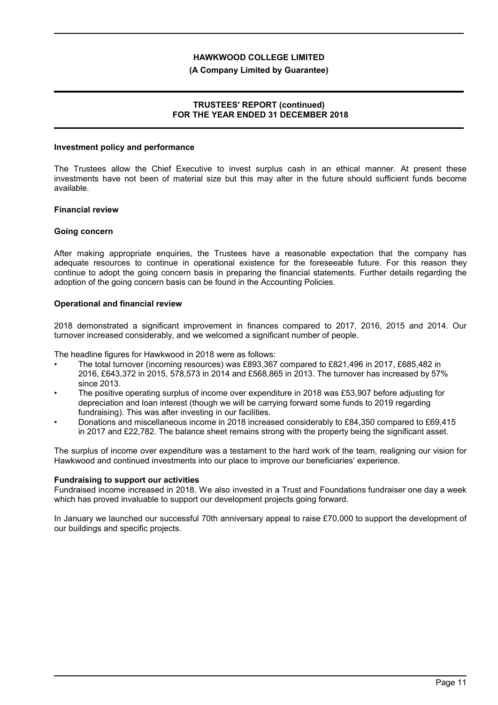#### **(A Company Limited by Guarantee)**

## **TRUSTEES' REPORT (continued) FOR THE YEAR ENDED 31 DECEMBER 2018**

#### **Investment policy and performance**

The Trustees allow the Chief Executive to invest surplus cash in an ethical manner. At present these investments have not been of material size but this may alter in the future should sufficient funds become available.

### **Financial review**

### **Going concern**

After making appropriate enquiries, the Trustees have a reasonable expectation that the company has adequate resources to continue in operational existence for the foreseeable future. For this reason they continue to adopt the going concern basis in preparing the financial statements. Further details regarding the adoption of the going concern basis can be found in the Accounting Policies.

### **Operational and financial review**

2018 demonstrated a significant improvement in finances compared to 2017, 2016, 2015 and 2014. Our turnover increased considerably, and we welcomed a significant number of people.

The headline figures for Hawkwood in 2018 were as follows:

- The total turnover (incoming resources) was £893,367 compared to £821,496 in 2017, £685,482 in 2016, £643,372 in 2015, 578,573 in 2014 and £568,865 in 2013. The turnover has increased by 57% since 2013.
- The positive operating surplus of income over expenditure in 2018 was £53,907 before adjusting for depreciation and loan interest (though we will be carrying forward some funds to 2019 regarding fundraising). This was after investing in our facilities.
- Donations and miscellaneous income in 2018 increased considerably to £84,350 compared to £69,415 in 2017 and £22,782. The balance sheet remains strong with the property being the significant asset.

The surplus of income over expenditure was a testament to the hard work of the team, realigning our vision for Hawkwood and continued investments into our place to improve our beneficiaries' experience.

#### **Fundraising to support our activities**

Fundraised income increased in 2018. We also invested in a Trust and Foundations fundraiser one day a week which has proved invaluable to support our development projects going forward.

In January we launched our successful 70th anniversary appeal to raise £70,000 to support the development of our buildings and specific projects.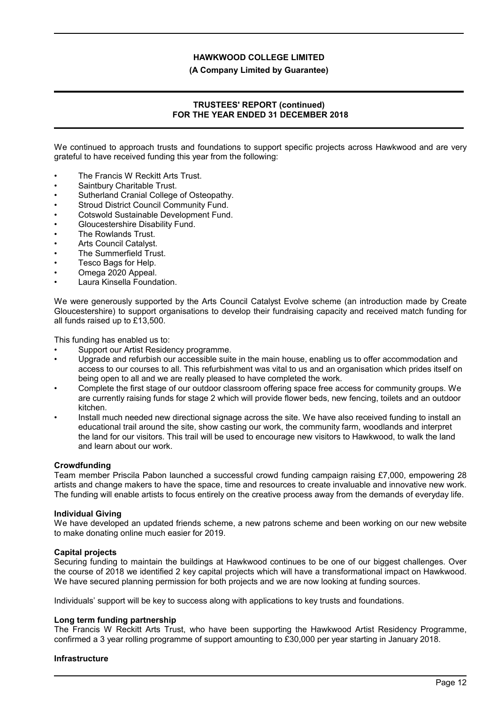**(A Company Limited by Guarantee)**

## **TRUSTEES' REPORT (continued) FOR THE YEAR ENDED 31 DECEMBER 2018**

We continued to approach trusts and foundations to support specific projects across Hawkwood and are very grateful to have received funding this year from the following:

- The Francis W Reckitt Arts Trust.
- Saintbury Charitable Trust.
- Sutherland Cranial College of Osteopathy.
- Stroud District Council Community Fund.
- Cotswold Sustainable Development Fund.
- Gloucestershire Disability Fund.
- The Rowlands Trust.
- Arts Council Catalyst.
- The Summerfield Trust.
- Tesco Bags for Help.
- Omega 2020 Appeal.
- Laura Kinsella Foundation.

We were generously supported by the Arts Council Catalyst Evolve scheme (an introduction made by Create Gloucestershire) to support organisations to develop their fundraising capacity and received match funding for all funds raised up to £13,500.

This funding has enabled us to:

- Support our Artist Residency programme.
- Upgrade and refurbish our accessible suite in the main house, enabling us to offer accommodation and access to our courses to all. This refurbishment was vital to us and an organisation which prides itself on being open to all and we are really pleased to have completed the work.
- Complete the first stage of our outdoor classroom offering space free access for community groups. We are currently raising funds for stage 2 which will provide flower beds, new fencing, toilets and an outdoor kitchen.
- Install much needed new directional signage across the site. We have also received funding to install an educational trail around the site, show casting our work, the community farm, woodlands and interpret the land for our visitors. This trail will be used to encourage new visitors to Hawkwood, to walk the land and learn about our work.

#### **Crowdfunding**

Team member Priscila Pabon launched a successful crowd funding campaign raising £7,000, empowering 28 artists and change makers to have the space, time and resources to create invaluable and innovative new work. The funding will enable artists to focus entirely on the creative process away from the demands of everyday life.

#### **Individual Giving**

We have developed an updated friends scheme, a new patrons scheme and been working on our new website to make donating online much easier for 2019.

#### **Capital projects**

Securing funding to maintain the buildings at Hawkwood continues to be one of our biggest challenges. Over the course of 2018 we identified 2 key capital projects which will have a transformational impact on Hawkwood. We have secured planning permission for both projects and we are now looking at funding sources.

Individuals' support will be key to success along with applications to key trusts and foundations.

#### **Long term funding partnership**

The Francis W Reckitt Arts Trust, who have been supporting the Hawkwood Artist Residency Programme, confirmed a 3 year rolling programme of support amounting to £30,000 per year starting in January 2018.

#### **Infrastructure**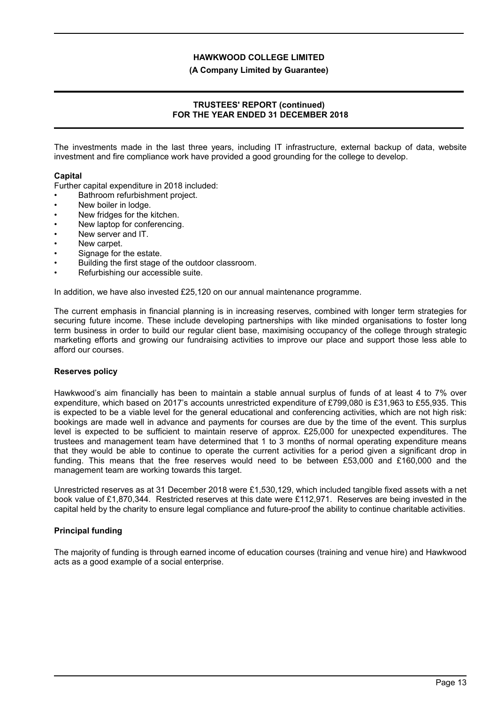**(A Company Limited by Guarantee)**

## **TRUSTEES' REPORT (continued) FOR THE YEAR ENDED 31 DECEMBER 2018**

The investments made in the last three years, including IT infrastructure, external backup of data, website investment and fire compliance work have provided a good grounding for the college to develop.

### **Capital**

Further capital expenditure in 2018 included:

- Bathroom refurbishment project.
- New boiler in lodge.
- New fridges for the kitchen.
- New laptop for conferencing.
- New server and IT.
- New carpet.
- Signage for the estate.
- Building the first stage of the outdoor classroom.
- Refurbishing our accessible suite.

In addition, we have also invested £25,120 on our annual maintenance programme.

The current emphasis in financial planning is in increasing reserves, combined with longer term strategies for securing future income. These include developing partnerships with like minded organisations to foster long term business in order to build our regular client base, maximising occupancy of the college through strategic marketing efforts and growing our fundraising activities to improve our place and support those less able to afford our courses.

#### **Reserves policy**

Hawkwood's aim financially has been to maintain a stable annual surplus of funds of at least 4 to 7% over expenditure, which based on 2017's accounts unrestricted expenditure of £799,080 is £31,963 to £55,935. This is expected to be a viable level for the general educational and conferencing activities, which are not high risk: bookings are made well in advance and payments for courses are due by the time of the event. This surplus level is expected to be sufficient to maintain reserve of approx. £25,000 for unexpected expenditures. The trustees and management team have determined that 1 to 3 months of normal operating expenditure means that they would be able to continue to operate the current activities for a period given a significant drop in funding. This means that the free reserves would need to be between £53,000 and £160,000 and the management team are working towards this target.

Unrestricted reserves as at 31 December 2018 were £1,530,129, which included tangible fixed assets with a net book value of £1,870,344. Restricted reserves at this date were £112,971. Reserves are being invested in the capital held by the charity to ensure legal compliance and future-proof the ability to continue charitable activities.

## **Principal funding**

The majority of funding is through earned income of education courses (training and venue hire) and Hawkwood acts as a good example of a social enterprise.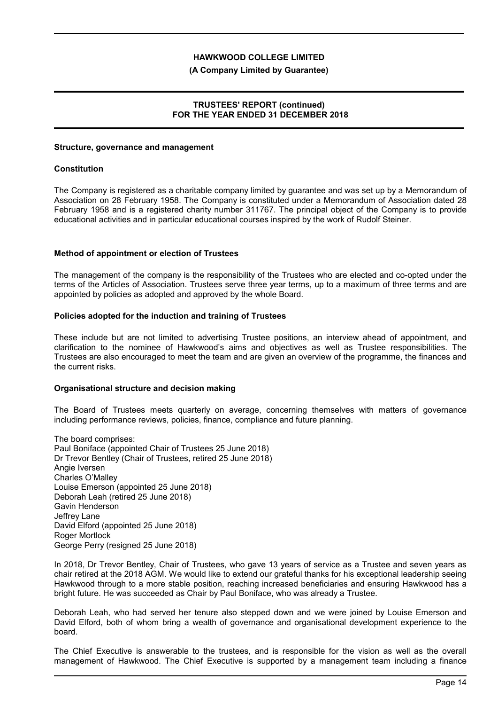#### **(A Company Limited by Guarantee)**

## **TRUSTEES' REPORT (continued) FOR THE YEAR ENDED 31 DECEMBER 2018**

#### **Structure, governance and management**

#### **Constitution**

The Company is registered as a charitable company limited by guarantee and was set up by a Memorandum of Association on 28 February 1958. The Company is constituted under a Memorandum of Association dated 28 February 1958 and is a registered charity number 311767. The principal object of the Company is to provide educational activities and in particular educational courses inspired by the work of Rudolf Steiner.

#### **Method of appointment or election of Trustees**

The management of the company is the responsibility of the Trustees who are elected and co-opted under the terms of the Articles of Association. Trustees serve three year terms, up to a maximum of three terms and are appointed by policies as adopted and approved by the whole Board.

#### **Policies adopted for the induction and training of Trustees**

These include but are not limited to advertising Trustee positions, an interview ahead of appointment, and clarification to the nominee of Hawkwood's aims and objectives as well as Trustee responsibilities. The Trustees are also encouraged to meet the team and are given an overview of the programme, the finances and the current risks.

#### **Organisational structure and decision making**

The Board of Trustees meets quarterly on average, concerning themselves with matters of governance including performance reviews, policies, finance, compliance and future planning.

The board comprises: Paul Boniface (appointed Chair of Trustees 25 June 2018) Dr Trevor Bentley (Chair of Trustees, retired 25 June 2018) Angie Iversen Charles O'Malley Louise Emerson (appointed 25 June 2018) Deborah Leah (retired 25 June 2018) Gavin Henderson Jeffrey Lane David Elford (appointed 25 June 2018) Roger Mortlock George Perry (resigned 25 June 2018)

In 2018, Dr Trevor Bentley, Chair of Trustees, who gave 13 years of service as a Trustee and seven years as chair retired at the 2018 AGM. We would like to extend our grateful thanks for his exceptional leadership seeing Hawkwood through to a more stable position, reaching increased beneficiaries and ensuring Hawkwood has a bright future. He was succeeded as Chair by Paul Boniface, who was already a Trustee.

Deborah Leah, who had served her tenure also stepped down and we were joined by Louise Emerson and David Elford, both of whom bring a wealth of governance and organisational development experience to the board.

The Chief Executive is answerable to the trustees, and is responsible for the vision as well as the overall management of Hawkwood. The Chief Executive is supported by a management team including a finance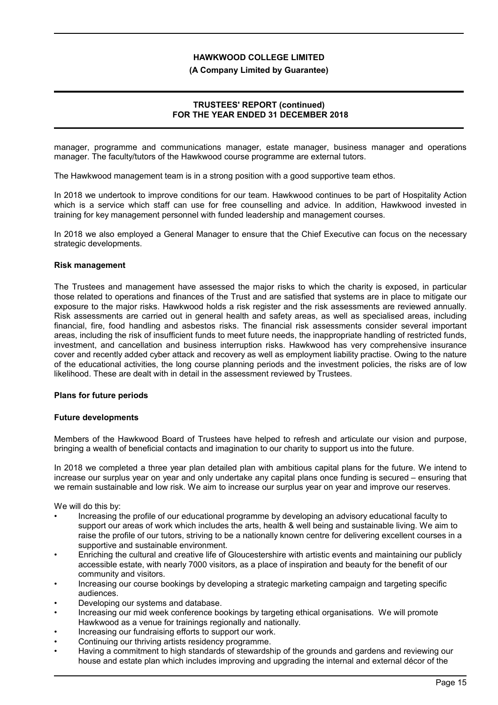### **(A Company Limited by Guarantee)**

## **TRUSTEES' REPORT (continued) FOR THE YEAR ENDED 31 DECEMBER 2018**

manager, programme and communications manager, estate manager, business manager and operations manager. The faculty/tutors of the Hawkwood course programme are external tutors.

The Hawkwood management team is in a strong position with a good supportive team ethos.

In 2018 we undertook to improve conditions for our team. Hawkwood continues to be part of Hospitality Action which is a service which staff can use for free counselling and advice. In addition, Hawkwood invested in training for key management personnel with funded leadership and management courses.

In 2018 we also employed a General Manager to ensure that the Chief Executive can focus on the necessary strategic developments.

### **Risk management**

The Trustees and management have assessed the major risks to which the charity is exposed, in particular those related to operations and finances of the Trust and are satisfied that systems are in place to mitigate our exposure to the major risks. Hawkwood holds a risk register and the risk assessments are reviewed annually. Risk assessments are carried out in general health and safety areas, as well as specialised areas, including financial, fire, food handling and asbestos risks. The financial risk assessments consider several important areas, including the risk of insufficient funds to meet future needs, the inappropriate handling of restricted funds, investment, and cancellation and business interruption risks. Hawkwood has very comprehensive insurance cover and recently added cyber attack and recovery as well as employment liability practise. Owing to the nature of the educational activities, the long course planning periods and the investment policies, the risks are of low likelihood. These are dealt with in detail in the assessment reviewed by Trustees.

## **Plans for future periods**

#### **Future developments**

Members of the Hawkwood Board of Trustees have helped to refresh and articulate our vision and purpose, bringing a wealth of beneficial contacts and imagination to our charity to support us into the future.

In 2018 we completed a three year plan detailed plan with ambitious capital plans for the future. We intend to increase our surplus year on year and only undertake any capital plans once funding is secured – ensuring that we remain sustainable and low risk. We aim to increase our surplus year on year and improve our reserves.

We will do this by:

- Increasing the profile of our educational programme by developing an advisory educational faculty to support our areas of work which includes the arts, health & well being and sustainable living. We aim to raise the profile of our tutors, striving to be a nationally known centre for delivering excellent courses in a supportive and sustainable environment.
- Enriching the cultural and creative life of Gloucestershire with artistic events and maintaining our publicly accessible estate, with nearly 7000 visitors, as a place of inspiration and beauty for the benefit of our community and visitors.
- Increasing our course bookings by developing a strategic marketing campaign and targeting specific audiences.
- Developing our systems and database.
- Increasing our mid week conference bookings by targeting ethical organisations. We will promote Hawkwood as a venue for trainings regionally and nationally.
- Increasing our fundraising efforts to support our work.
- Continuing our thriving artists residency programme.
- Having a commitment to high standards of stewardship of the grounds and gardens and reviewing our house and estate plan which includes improving and upgrading the internal and external décor of the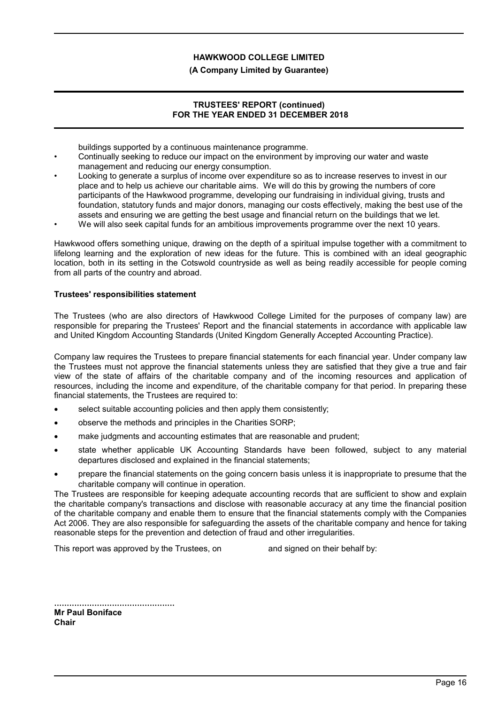### **(A Company Limited by Guarantee)**

### **TRUSTEES' REPORT (continued) FOR THE YEAR ENDED 31 DECEMBER 2018**

buildings supported by a continuous maintenance programme.

- Continually seeking to reduce our impact on the environment by improving our water and waste management and reducing our energy consumption.
- Looking to generate a surplus of income over expenditure so as to increase reserves to invest in our place and to help us achieve our charitable aims. We will do this by growing the numbers of core participants of the Hawkwood programme, developing our fundraising in individual giving, trusts and foundation, statutory funds and major donors, managing our costs effectively, making the best use of the assets and ensuring we are getting the best usage and financial return on the buildings that we let.
- We will also seek capital funds for an ambitious improvements programme over the next 10 years.

Hawkwood offers something unique, drawing on the depth of a spiritual impulse together with a commitment to lifelong learning and the exploration of new ideas for the future. This is combined with an ideal geographic location, both in its setting in the Cotswold countryside as well as being readily accessible for people coming from all parts of the country and abroad.

### **Trustees' responsibilities statement**

The Trustees (who are also directors of Hawkwood College Limited for the purposes of company law) are responsible for preparing the Trustees' Report and the financial statements in accordance with applicable law and United Kingdom Accounting Standards (United Kingdom Generally Accepted Accounting Practice).

Company law requires the Trustees to prepare financial statements for each financial year. Under company law the Trustees must not approve the financial statements unless they are satisfied that they give a true and fair view of the state of affairs of the charitable company and of the incoming resources and application of resources, including the income and expenditure, of the charitable company for that period. In preparing these financial statements, the Trustees are required to:

- select suitable accounting policies and then apply them consistently;
- observe the methods and principles in the Charities SORP;
- make judgments and accounting estimates that are reasonable and prudent;
- state whether applicable UK Accounting Standards have been followed, subject to any material departures disclosed and explained in the financial statements;
- prepare the financial statements on the going concern basis unless it is inappropriate to presume that the charitable company will continue in operation.

The Trustees are responsible for keeping adequate accounting records that are sufficient to show and explain the charitable company's transactions and disclose with reasonable accuracy at any time the financial position of the charitable company and enable them to ensure that the financial statements comply with the Companies Act 2006. They are also responsible for safeguarding the assets of the charitable company and hence for taking reasonable steps for the prevention and detection of fraud and other irregularities.

This report was approved by the Trustees, on and signed on their behalf by:

................................................ **Mr Paul Boniface Chair**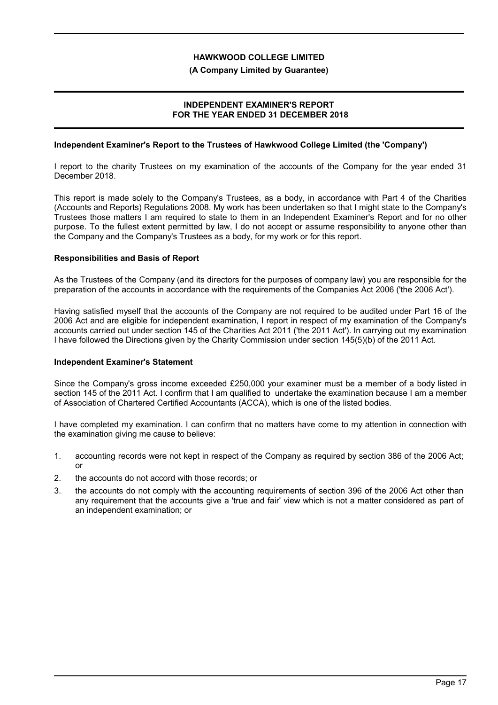### **(A Company Limited by Guarantee)**

# **INDEPENDENT EXAMINER'S REPORT FOR THE YEAR ENDED 31 DECEMBER 2018**

## **Independent Examiner's Report to the Trustees of Hawkwood College Limited (the 'Company')**

I report to the charity Trustees on my examination of the accounts of the Company for the year ended 31 December 2018.

This report is made solely to the Company's Trustees, as a body, in accordance with Part 4 of the Charities (Accounts and Reports) Regulations 2008. My work has been undertaken so that I might state to the Company's Trustees those matters I am required to state to them in an Independent Examiner's Report and for no other purpose. To the fullest extent permitted by law, I do not accept or assume responsibility to anyone other than the Company and the Company's Trustees as a body, for my work or for this report.

## **Responsibilities and Basis of Report**

As the Trustees of the Company (and its directors for the purposes of company law) you are responsible for the preparation of the accounts in accordance with the requirements of the Companies Act 2006 ('the 2006 Act').

Having satisfied myself that the accounts of the Company are not required to be audited under Part 16 of the 2006 Act and are eligible for independent examination, I report in respect of my examination of the Company's accounts carried out under section 145 of the Charities Act 2011 ('the 2011 Act'). In carrying out my examination I have followed the Directions given by the Charity Commission under section 145(5)(b) of the 2011 Act.

## **Independent Examiner's Statement**

Since the Company's gross income exceeded £250,000 your examiner must be a member of a body listed in section 145 of the 2011 Act. I confirm that I am qualified to undertake the examination because I am a member of Association of Chartered Certified Accountants (ACCA), which is one of the listed bodies.

I have completed my examination. I can confirm that no matters have come to my attention in connection with the examination giving me cause to believe:

- 1. accounting records were not kept in respect of the Company as required by section 386 of the 2006 Act; or
- 2. the accounts do not accord with those records; or
- 3. the accounts do not comply with the accounting requirements of section 396 of the 2006 Act other than any requirement that the accounts give a 'true and fair' view which is not a matter considered as part of an independent examination; or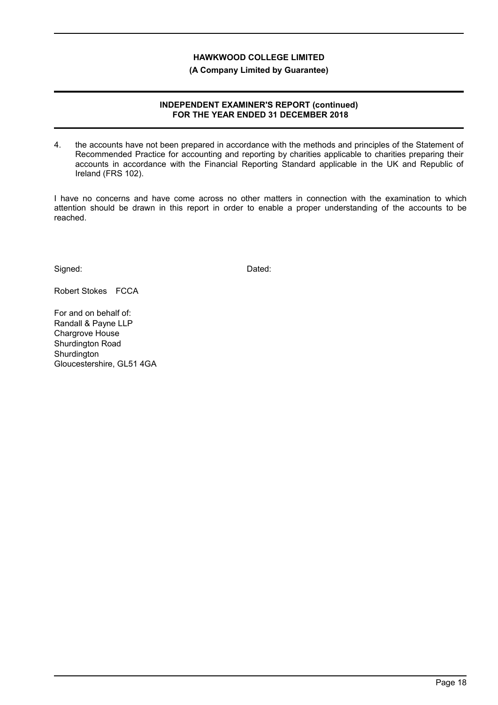**(A Company Limited by Guarantee)**

### **INDEPENDENT EXAMINER'S REPORT (continued) FOR THE YEAR ENDED 31 DECEMBER 2018**

4. the accounts have not been prepared in accordance with the methods and principles of the Statement of Recommended Practice for accounting and reporting by charities applicable to charities preparing their accounts in accordance with the Financial Reporting Standard applicable in the UK and Republic of Ireland (FRS 102).

I have no concerns and have come across no other matters in connection with the examination to which attention should be drawn in this report in order to enable a proper understanding of the accounts to be reached.

Signed: Dated:

Robert Stokes FCCA

For and on behalf of: Randall & Payne LLP Chargrove House Shurdington Road **Shurdington** Gloucestershire, GL51 4GA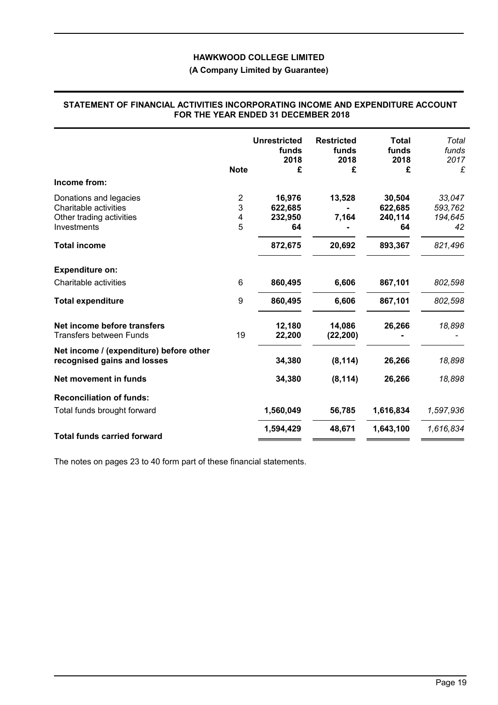# **(A Company Limited by Guarantee)**

|                                                                        | <b>Note</b>    | <b>Unrestricted</b><br>funds<br>2018<br>£ | <b>Restricted</b><br>funds<br>2018<br>£ | <b>Total</b><br>funds<br>2018<br>£ | Total<br>funds<br>2017<br>£ |
|------------------------------------------------------------------------|----------------|-------------------------------------------|-----------------------------------------|------------------------------------|-----------------------------|
| Income from:                                                           |                |                                           |                                         |                                    |                             |
| Donations and legacies                                                 | $\overline{c}$ | 16,976                                    | 13,528                                  | 30,504                             | 33,047                      |
| Charitable activities                                                  | 3              | 622,685                                   |                                         | 622,685                            | 593,762                     |
| Other trading activities                                               | 4              | 232,950                                   | 7,164                                   | 240,114                            | 194,645                     |
| Investments                                                            | 5              | 64                                        |                                         | 64                                 | 42                          |
| <b>Total income</b>                                                    |                | 872,675                                   | 20,692                                  | 893,367                            | 821,496                     |
| <b>Expenditure on:</b>                                                 |                |                                           |                                         |                                    |                             |
| Charitable activities                                                  | 6              | 860,495                                   | 6,606                                   | 867,101                            | 802,598                     |
| <b>Total expenditure</b>                                               | 9              | 860,495                                   | 6,606                                   | 867,101                            | 802,598                     |
| Net income before transfers<br><b>Transfers between Funds</b>          | 19             | 12,180<br>22,200                          | 14,086<br>(22, 200)                     | 26,266                             | 18,898                      |
| Net income / (expenditure) before other<br>recognised gains and losses |                | 34,380                                    | (8, 114)                                | 26,266                             | 18,898                      |
| Net movement in funds                                                  |                | 34,380                                    | (8, 114)                                | 26,266                             | 18,898                      |
| <b>Reconciliation of funds:</b>                                        |                |                                           |                                         |                                    |                             |
| Total funds brought forward                                            |                | 1,560,049                                 | 56,785                                  | 1,616,834                          | 1,597,936                   |
| <b>Total funds carried forward</b>                                     |                | 1,594,429                                 | 48,671                                  | 1,643,100                          | 1,616,834                   |

#### **STATEMENT OF FINANCIAL ACTIVITIES INCORPORATING INCOME AND EXPENDITURE ACCOUNT FOR THE YEAR ENDED 31 DECEMBER 2018**

The notes on pages 23 to 40 form part of these financial statements.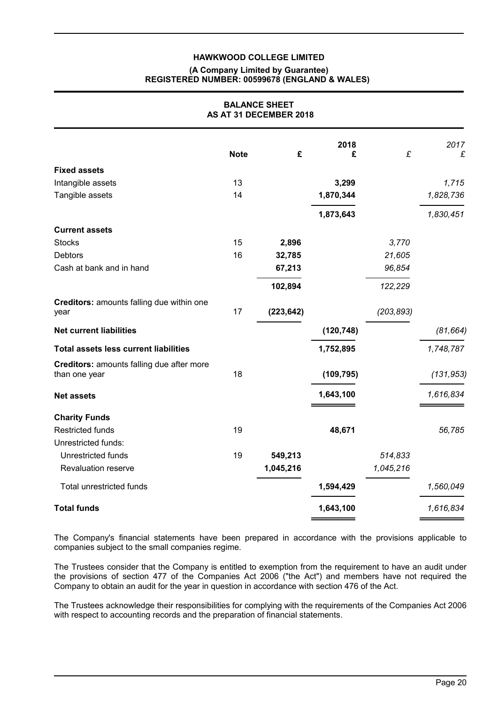### **(A Company Limited by Guarantee) REGISTERED NUMBER: 00599678 (ENGLAND & WALES)**

| <b>BALANCE SHEET</b><br>AS AT 31 DECEMBER 2018             |             |            |            |            |            |
|------------------------------------------------------------|-------------|------------|------------|------------|------------|
|                                                            | <b>Note</b> | £          | 2018<br>£  | £          | 2017<br>£  |
|                                                            |             |            |            |            |            |
| <b>Fixed assets</b>                                        |             |            |            |            |            |
| Intangible assets                                          | 13          |            | 3,299      |            | 1,715      |
| Tangible assets                                            | 14          |            | 1,870,344  |            | 1,828,736  |
|                                                            |             |            | 1,873,643  |            | 1,830,451  |
| <b>Current assets</b>                                      |             |            |            |            |            |
| <b>Stocks</b>                                              | 15          | 2,896      |            | 3,770      |            |
| <b>Debtors</b>                                             | 16          | 32,785     |            | 21,605     |            |
| Cash at bank and in hand                                   |             | 67,213     |            | 96,854     |            |
|                                                            |             | 102,894    |            | 122,229    |            |
| Creditors: amounts falling due within one<br>year          | 17          | (223, 642) |            | (203, 893) |            |
| <b>Net current liabilities</b>                             |             |            | (120, 748) |            | (81, 664)  |
| <b>Total assets less current liabilities</b>               |             |            | 1,752,895  |            | 1,748,787  |
| Creditors: amounts falling due after more<br>than one year | 18          |            | (109, 795) |            | (131, 953) |
| <b>Net assets</b>                                          |             |            | 1,643,100  |            | 1,616,834  |
| <b>Charity Funds</b>                                       |             |            |            |            |            |
| <b>Restricted funds</b>                                    | 19          |            | 48,671     |            | 56,785     |
| Unrestricted funds:                                        |             |            |            |            |            |
| Unrestricted funds                                         | 19          | 549,213    |            | 514,833    |            |
| Revaluation reserve                                        |             | 1,045,216  |            | 1,045,216  |            |
| Total unrestricted funds                                   |             |            | 1,594,429  |            | 1,560,049  |
| <b>Total funds</b>                                         |             |            | 1,643,100  |            | 1,616,834  |

The Company's financial statements have been prepared in accordance with the provisions applicable to companies subject to the small companies regime.

The Trustees consider that the Company is entitled to exemption from the requirement to have an audit under the provisions of section 477 of the Companies Act 2006 ("the Act") and members have not required the Company to obtain an audit for the year in question in accordance with section 476 of the Act.

The Trustees acknowledge their responsibilities for complying with the requirements of the Companies Act 2006 with respect to accounting records and the preparation of financial statements.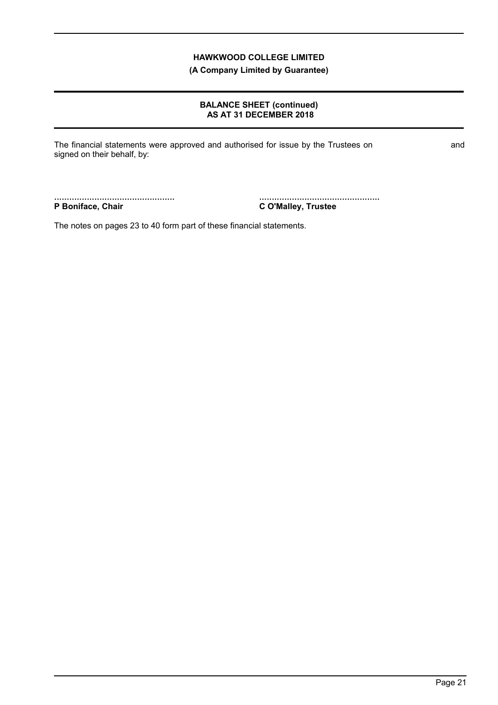**(A Company Limited by Guarantee)**

# **BALANCE SHEET (continued) AS AT 31 DECEMBER 2018**

The financial statements were approved and authorised for issue by the Trustees on and signed on their behalf, by:

................................................ **P Boniface, Chair**

................................................ **C O'Malley, Trustee**

The notes on pages 23 to 40 form part of these financial statements.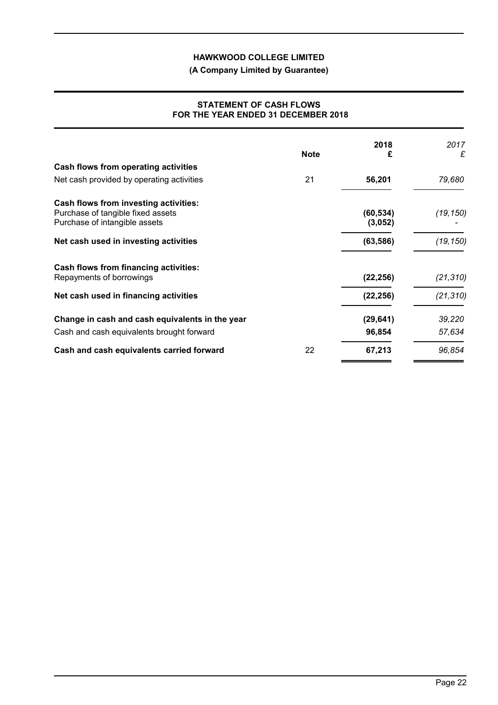**(A Company Limited by Guarantee)**

### **STATEMENT OF CASH FLOWS FOR THE YEAR ENDED 31 DECEMBER 2018**

|                                                 |             | 2018      | 2017      |
|-------------------------------------------------|-------------|-----------|-----------|
|                                                 | <b>Note</b> |           | £         |
| Cash flows from operating activities            |             |           |           |
| Net cash provided by operating activities       | 21          | 56,201    | 79,680    |
| Cash flows from investing activities:           |             |           |           |
| Purchase of tangible fixed assets               |             | (60, 534) | (19,150)  |
| Purchase of intangible assets                   |             | (3,052)   |           |
| Net cash used in investing activities           |             | (63, 586) | (19, 150) |
| Cash flows from financing activities:           |             |           |           |
| Repayments of borrowings                        |             | (22, 256) | (21, 310) |
| Net cash used in financing activities           |             | (22, 256) | (21, 310) |
| Change in cash and cash equivalents in the year |             | (29, 641) | 39,220    |
| Cash and cash equivalents brought forward       |             | 96,854    | 57,634    |
| Cash and cash equivalents carried forward       | 22          | 67,213    | 96,854    |

 $\overline{a}$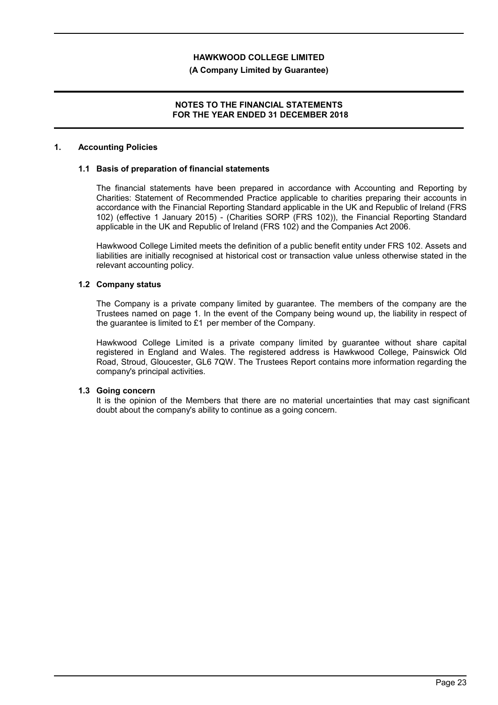## **(A Company Limited by Guarantee)**

# **NOTES TO THE FINANCIAL STATEMENTS FOR THE YEAR ENDED 31 DECEMBER 2018**

### **1. Accounting Policies**

### **1.1 Basis of preparation of financial statements**

The financial statements have been prepared in accordance with Accounting and Reporting by Charities: Statement of Recommended Practice applicable to charities preparing their accounts in accordance with the Financial Reporting Standard applicable in the UK and Republic of Ireland (FRS 102) (effective 1 January 2015) - (Charities SORP (FRS 102)), the Financial Reporting Standard applicable in the UK and Republic of Ireland (FRS 102) and the Companies Act 2006.

Hawkwood College Limited meets the definition of a public benefit entity under FRS 102. Assets and liabilities are initially recognised at historical cost or transaction value unless otherwise stated in the relevant accounting policy.

### **1.2 Company status**

The Company is a private company limited by guarantee. The members of the company are the Trustees named on page 1. In the event of the Company being wound up, the liability in respect of the guarantee is limited to £1 per member of the Company.

Hawkwood College Limited is a private company limited by guarantee without share capital registered in England and Wales. The registered address is Hawkwood College, Painswick Old Road, Stroud, Gloucester, GL6 7QW. The Trustees Report contains more information regarding the company's principal activities.

#### **1.3 Going concern**

It is the opinion of the Members that there are no material uncertainties that may cast significant doubt about the company's ability to continue as a going concern.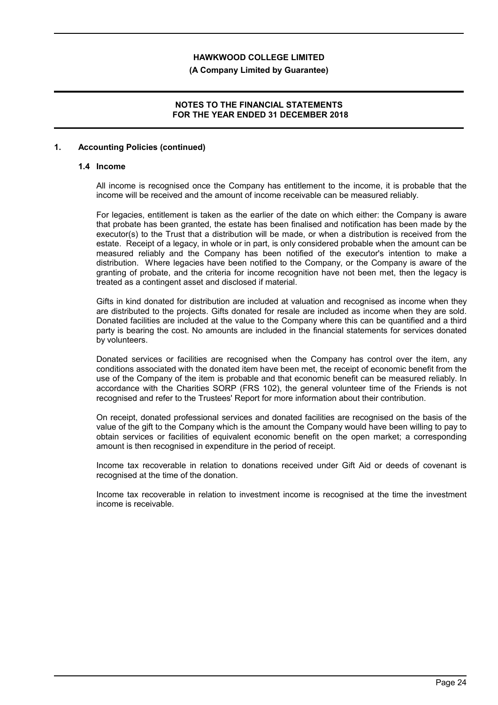#### **(A Company Limited by Guarantee)**

### **NOTES TO THE FINANCIAL STATEMENTS FOR THE YEAR ENDED 31 DECEMBER 2018**

### **1. Accounting Policies (continued)**

#### **1.4 Income**

All income is recognised once the Company has entitlement to the income, it is probable that the income will be received and the amount of income receivable can be measured reliably.

For legacies, entitlement is taken as the earlier of the date on which either: the Company is aware that probate has been granted, the estate has been finalised and notification has been made by the executor(s) to the Trust that a distribution will be made, or when a distribution is received from the estate. Receipt of a legacy, in whole or in part, is only considered probable when the amount can be measured reliably and the Company has been notified of the executor's intention to make a distribution. Where legacies have been notified to the Company, or the Company is aware of the granting of probate, and the criteria for income recognition have not been met, then the legacy is treated as a contingent asset and disclosed if material.

Gifts in kind donated for distribution are included at valuation and recognised as income when they are distributed to the projects. Gifts donated for resale are included as income when they are sold. Donated facilities are included at the value to the Company where this can be quantified and a third party is bearing the cost. No amounts are included in the financial statements for services donated by volunteers.

Donated services or facilities are recognised when the Company has control over the item, any conditions associated with the donated item have been met, the receipt of economic benefit from the use of the Company of the item is probable and that economic benefit can be measured reliably. In accordance with the Charities SORP (FRS 102), the general volunteer time of the Friends is not recognised and refer to the Trustees' Report for more information about their contribution.

On receipt, donated professional services and donated facilities are recognised on the basis of the value of the gift to the Company which is the amount the Company would have been willing to pay to obtain services or facilities of equivalent economic benefit on the open market; a corresponding amount is then recognised in expenditure in the period of receipt.

Income tax recoverable in relation to donations received under Gift Aid or deeds of covenant is recognised at the time of the donation.

Income tax recoverable in relation to investment income is recognised at the time the investment income is receivable.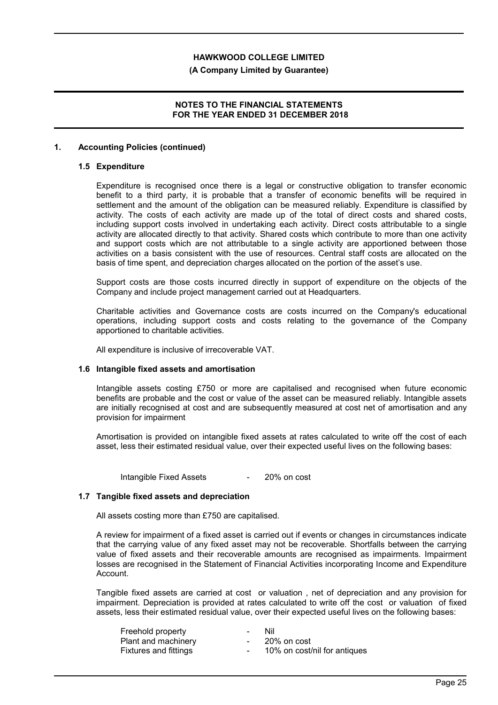#### **(A Company Limited by Guarantee)**

### **NOTES TO THE FINANCIAL STATEMENTS FOR THE YEAR ENDED 31 DECEMBER 2018**

### **1. Accounting Policies (continued)**

#### **1.5 Expenditure**

Expenditure is recognised once there is a legal or constructive obligation to transfer economic benefit to a third party, it is probable that a transfer of economic benefits will be required in settlement and the amount of the obligation can be measured reliably. Expenditure is classified by activity. The costs of each activity are made up of the total of direct costs and shared costs, including support costs involved in undertaking each activity. Direct costs attributable to a single activity are allocated directly to that activity. Shared costs which contribute to more than one activity and support costs which are not attributable to a single activity are apportioned between those activities on a basis consistent with the use of resources. Central staff costs are allocated on the basis of time spent, and depreciation charges allocated on the portion of the asset's use.

Support costs are those costs incurred directly in support of expenditure on the objects of the Company and include project management carried out at Headquarters.

Charitable activities and Governance costs are costs incurred on the Company's educational operations, including support costs and costs relating to the governance of the Company apportioned to charitable activities.

All expenditure is inclusive of irrecoverable VAT.

#### **1.6 Intangible fixed assets and amortisation**

Intangible assets costing £750 or more are capitalised and recognised when future economic benefits are probable and the cost or value of the asset can be measured reliably. Intangible assets are initially recognised at cost and are subsequently measured at cost net of amortisation and any provision for impairment

Amortisation is provided on intangible fixed assets at rates calculated to write off the cost of each asset, less their estimated residual value, over their expected useful lives on the following bases:

Intangible Fixed Assets - 20% on cost

### **1.7 Tangible fixed assets and depreciation**

All assets costing more than £750 are capitalised.

A review for impairment of a fixed asset is carried out if events or changes in circumstances indicate that the carrying value of any fixed asset may not be recoverable. Shortfalls between the carrying value of fixed assets and their recoverable amounts are recognised as impairments. Impairment losses are recognised in the Statement of Financial Activities incorporating Income and Expenditure Account.

Tangible fixed assets are carried at cost or valuation , net of depreciation and any provision for impairment. Depreciation is provided at rates calculated to write off the cost or valuation of fixed assets, less their estimated residual value, over their expected useful lives on the following bases:

| Freehold property     | $\sim$           | Nil                          |
|-----------------------|------------------|------------------------------|
| Plant and machinery   | $\sim$           | 20% on cost                  |
| Fixtures and fittings | $\sim$ 100 $\mu$ | 10% on cost/nil for antiques |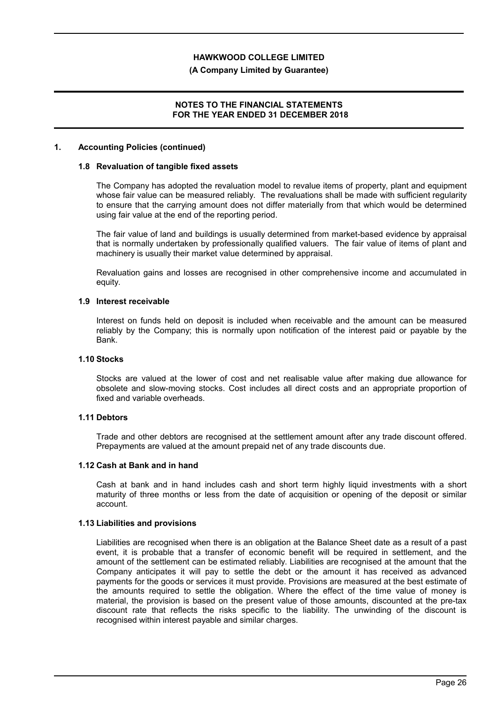#### **(A Company Limited by Guarantee)**

### **NOTES TO THE FINANCIAL STATEMENTS FOR THE YEAR ENDED 31 DECEMBER 2018**

### **1. Accounting Policies (continued)**

#### **1.8 Revaluation of tangible fixed assets**

The Company has adopted the revaluation model to revalue items of property, plant and equipment whose fair value can be measured reliably. The revaluations shall be made with sufficient regularity to ensure that the carrying amount does not differ materially from that which would be determined using fair value at the end of the reporting period.

The fair value of land and buildings is usually determined from market-based evidence by appraisal that is normally undertaken by professionally qualified valuers. The fair value of items of plant and machinery is usually their market value determined by appraisal.

Revaluation gains and losses are recognised in other comprehensive income and accumulated in equity.

#### **1.9 Interest receivable**

Interest on funds held on deposit is included when receivable and the amount can be measured reliably by the Company; this is normally upon notification of the interest paid or payable by the Bank.

#### **1.10 Stocks**

Stocks are valued at the lower of cost and net realisable value after making due allowance for obsolete and slow-moving stocks. Cost includes all direct costs and an appropriate proportion of fixed and variable overheads.

## **1.11 Debtors**

Trade and other debtors are recognised at the settlement amount after any trade discount offered. Prepayments are valued at the amount prepaid net of any trade discounts due.

#### **1.12 Cash at Bank and in hand**

Cash at bank and in hand includes cash and short term highly liquid investments with a short maturity of three months or less from the date of acquisition or opening of the deposit or similar account.

#### **1.13 Liabilities and provisions**

Liabilities are recognised when there is an obligation at the Balance Sheet date as a result of a past event, it is probable that a transfer of economic benefit will be required in settlement, and the amount of the settlement can be estimated reliably. Liabilities are recognised at the amount that the Company anticipates it will pay to settle the debt or the amount it has received as advanced payments for the goods or services it must provide. Provisions are measured at the best estimate of the amounts required to settle the obligation. Where the effect of the time value of money is material, the provision is based on the present value of those amounts, discounted at the pre-tax discount rate that reflects the risks specific to the liability. The unwinding of the discount is recognised within interest payable and similar charges.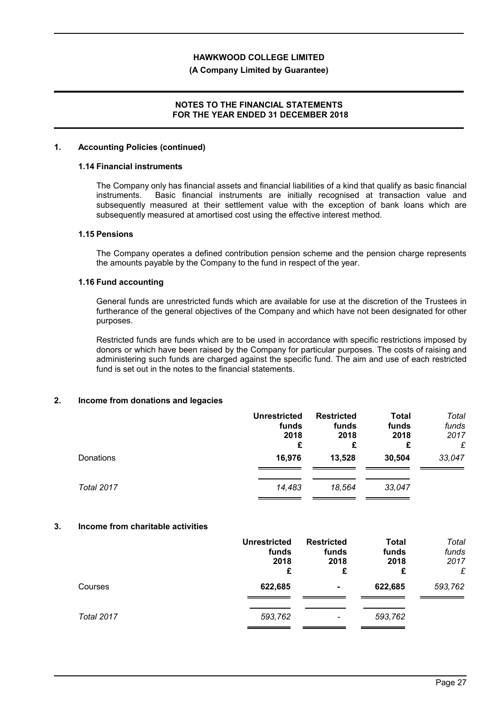### **(A Company Limited by Guarantee)**

# **NOTES TO THE FINANCIAL STATEMENTS FOR THE YEAR ENDED 31 DECEMBER 2018**

#### **1. Accounting Policies (continued)**

#### **1.14 Financial instruments**

The Company only has financial assets and financial liabilities of a kind that qualify as basic financial instruments. Basic financial instruments are initially recognised at transaction value and subsequently measured at their settlement value with the exception of bank loans which are subsequently measured at amortised cost using the effective interest method.

#### **1.15 Pensions**

The Company operates a defined contribution pension scheme and the pension charge represents the amounts payable by the Company to the fund in respect of the year.

### **1.16 Fund accounting**

General funds are unrestricted funds which are available for use at the discretion of the Trustees in furtherance of the general objectives of the Company and which have not been designated for other purposes.

Restricted funds are funds which are to be used in accordance with specific restrictions imposed by donors or which have been raised by the Company for particular purposes. The costs of raising and administering such funds are charged against the specific fund. The aim and use of each restricted fund is set out in the notes to the financial statements.

## **2. Income from donations and legacies**

|                   | <b>Unrestricted</b><br>funds<br>2018<br>£ | <b>Restricted</b><br>funds<br>2018<br>£ | <b>Total</b><br>funds<br>2018<br>£ | Total<br>funds<br>2017<br>£ |
|-------------------|-------------------------------------------|-----------------------------------------|------------------------------------|-----------------------------|
| Donations         | 16,976                                    | 13,528                                  | 30,504                             | 33,047                      |
| <b>Total 2017</b> | 14,483                                    | 18.564                                  | 33,047                             |                             |

# **3. Income from charitable activities**

|                   | <b>Unrestricted</b><br>funds<br>2018<br>£ | <b>Restricted</b><br>funds<br>2018<br>£ | <b>Total</b><br>funds<br>2018<br>£ | Total<br>funds<br>2017<br>£ |
|-------------------|-------------------------------------------|-----------------------------------------|------------------------------------|-----------------------------|
| Courses           | 622,685                                   | $\blacksquare$                          | 622,685                            | 593,762                     |
| <b>Total 2017</b> | 593,762                                   | $\overline{\phantom{a}}$                | 593,762                            |                             |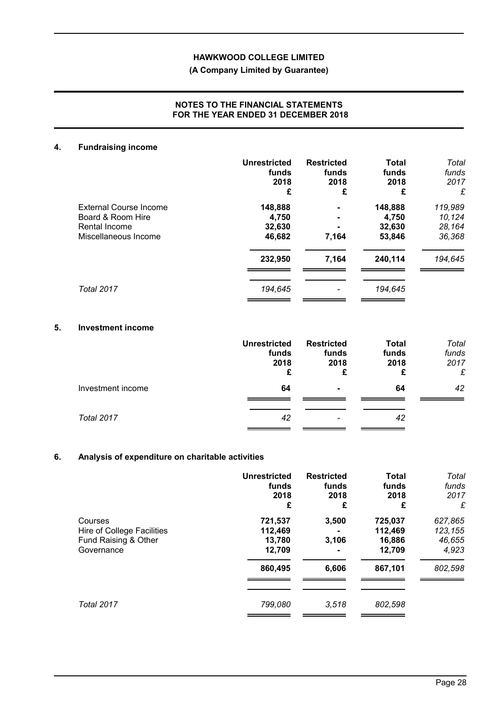# **(A Company Limited by Guarantee)**

# **NOTES TO THE FINANCIAL STATEMENTS FOR THE YEAR ENDED 31 DECEMBER 2018**

# **4. Fundraising income**

|                        | <b>Unrestricted</b><br>funds<br>2018<br>£ | <b>Restricted</b><br>funds<br>2018<br>£ | <b>Total</b><br>funds<br>2018<br>£ | Total<br>funds<br>2017<br>£ |
|------------------------|-------------------------------------------|-----------------------------------------|------------------------------------|-----------------------------|
| External Course Income | 148,888                                   | $\blacksquare$                          | 148,888                            | 119,989                     |
| Board & Room Hire      | 4,750                                     | $\blacksquare$                          | 4,750                              | 10,124                      |
| Rental Income          | 32,630                                    | $\blacksquare$                          | 32,630                             | 28,164                      |
| Miscellaneous Income   | 46,682                                    | 7,164                                   | 53,846                             | 36,368                      |
|                        | 232,950                                   | 7,164                                   | 240,114                            | 194,645                     |
| <b>Total 2017</b>      | 194,645                                   |                                         | 194,645                            |                             |

# **5. Investment income**

|                   | <b>Unrestricted</b><br>funds<br>2018<br>£ | <b>Restricted</b><br>funds<br>2018<br>£ | <b>Total</b><br>funds<br>2018<br>£ | Total<br>funds<br>2017<br>£ |
|-------------------|-------------------------------------------|-----------------------------------------|------------------------------------|-----------------------------|
| Investment income | 64                                        | $\blacksquare$                          | 64                                 | 42                          |
| Total 2017        | 42                                        | $\overline{\phantom{a}}$                | 42                                 |                             |

# **6. Analysis of expenditure on charitable activities**

|                                                                             | <b>Unrestricted</b><br>funds<br>2018<br>£         | <b>Restricted</b><br>funds<br>2018<br>£   | <b>Total</b><br>funds<br>2018<br>£                | Total<br>funds<br>2017<br>£                      |
|-----------------------------------------------------------------------------|---------------------------------------------------|-------------------------------------------|---------------------------------------------------|--------------------------------------------------|
| Courses<br>Hire of College Facilities<br>Fund Raising & Other<br>Governance | 721,537<br>112,469<br>13,780<br>12,709<br>860,495 | 3,500<br>3,106<br>$\blacksquare$<br>6,606 | 725,037<br>112,469<br>16,886<br>12,709<br>867,101 | 627,865<br>123,155<br>46,655<br>4,923<br>802,598 |
| Total 2017                                                                  | 799,080                                           | 3,518                                     | 802,598                                           |                                                  |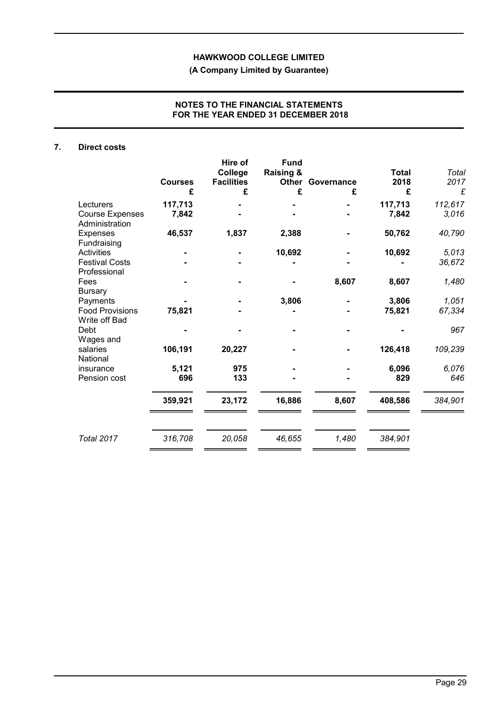**(A Company Limited by Guarantee)**

# **NOTES TO THE FINANCIAL STATEMENTS FOR THE YEAR ENDED 31 DECEMBER 2018**

# **7. Direct costs**

|                                          | <b>Courses</b><br>£ | Hire of<br>College<br><b>Facilities</b><br>£ | <b>Fund</b><br><b>Raising &amp;</b><br>Other<br>£ | Governance<br>£ | <b>Total</b><br>2018<br>£ | Total<br>2017<br>£ |
|------------------------------------------|---------------------|----------------------------------------------|---------------------------------------------------|-----------------|---------------------------|--------------------|
| Lecturers                                | 117,713             |                                              |                                                   |                 | 117,713                   | 112,617            |
| <b>Course Expenses</b><br>Administration | 7,842               |                                              |                                                   |                 | 7,842                     | 3,016              |
| Expenses<br>Fundraising                  | 46,537              | 1,837                                        | 2,388                                             |                 | 50,762                    | 40,790             |
| <b>Activities</b>                        |                     |                                              | 10,692                                            |                 | 10,692                    | 5,013              |
| <b>Festival Costs</b><br>Professional    |                     |                                              |                                                   |                 |                           | 36,672             |
| Fees<br><b>Bursary</b>                   |                     |                                              |                                                   | 8,607           | 8,607                     | 1,480              |
| Payments                                 |                     |                                              | 3,806                                             |                 | 3,806                     | 1,051              |
| <b>Food Provisions</b><br>Write off Bad  | 75,821              |                                              |                                                   |                 | 75,821                    | 67,334             |
| Debt<br>Wages and                        |                     |                                              |                                                   |                 |                           | 967                |
| salaries<br>National                     | 106,191             | 20,227                                       |                                                   |                 | 126,418                   | 109,239            |
| insurance                                | 5,121               | 975                                          |                                                   |                 | 6,096                     | 6,076              |
| Pension cost                             | 696                 | 133                                          |                                                   |                 | 829                       | 646                |
|                                          | 359,921             | 23,172                                       | 16,886                                            | 8,607           | 408,586                   | 384,901            |
| <b>Total 2017</b>                        | 316,708             | 20,058                                       | 46,655                                            | 1,480           | 384,901                   |                    |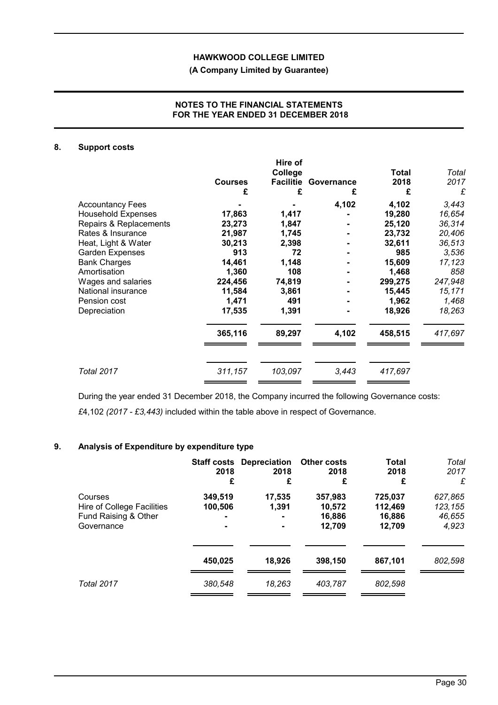# **(A Company Limited by Guarantee)**

# **NOTES TO THE FINANCIAL STATEMENTS FOR THE YEAR ENDED 31 DECEMBER 2018**

### **8. Support costs**

|                           | <b>Courses</b><br>£ | Hire of<br>College<br>£ | <b>Facilitie Governance</b><br>£ | <b>Total</b><br>2018<br>£ | Total<br>2017<br>£ |
|---------------------------|---------------------|-------------------------|----------------------------------|---------------------------|--------------------|
| <b>Accountancy Fees</b>   |                     |                         | 4,102                            | 4,102                     | 3,443              |
| <b>Household Expenses</b> | 17,863              | 1,417                   |                                  | 19,280                    | 16,654             |
| Repairs & Replacements    | 23,273              | 1,847                   |                                  | 25,120                    | 36,314             |
| Rates & Insurance         | 21,987              | 1,745                   |                                  | 23,732                    | 20,406             |
| Heat, Light & Water       | 30,213              | 2,398                   |                                  | 32,611                    | 36,513             |
| Garden Expenses           | 913                 | 72                      |                                  | 985                       | 3,536              |
| <b>Bank Charges</b>       | 14,461              | 1,148                   |                                  | 15,609                    | 17,123             |
| Amortisation              | 1,360               | 108                     |                                  | 1,468                     | 858                |
| Wages and salaries        | 224,456             | 74,819                  |                                  | 299,275                   | 247,948            |
| National insurance        | 11,584              | 3,861                   |                                  | 15,445                    | 15,171             |
| Pension cost              | 1,471               | 491                     |                                  | 1,962                     | 1,468              |
| Depreciation              | 17,535              | 1,391                   |                                  | 18,926                    | 18,263             |
|                           | 365,116             | 89,297                  | 4,102                            | 458,515                   | 417,697            |
| Total 2017                | 311,157             | 103,097                 | 3,443                            | 417,697                   |                    |

During the year ended 31 December 2018, the Company incurred the following Governance costs: *£*4,102 *(2017 - £3,443)* included within the table above in respect of Governance.

# **9. Analysis of Expenditure by expenditure type**

|                                                                             | 2018<br>£                            | <b>Staff costs Depreciation</b><br>2018<br>£ | <b>Other costs</b><br>2018<br>£       | <b>Total</b><br>2018<br>£              | Total<br>2017<br>£                    |
|-----------------------------------------------------------------------------|--------------------------------------|----------------------------------------------|---------------------------------------|----------------------------------------|---------------------------------------|
| Courses<br>Hire of College Facilities<br>Fund Raising & Other<br>Governance | 349,519<br>100,506<br>$\blacksquare$ | 17,535<br>1,391<br>$\blacksquare$            | 357,983<br>10,572<br>16,886<br>12,709 | 725,037<br>112,469<br>16,886<br>12,709 | 627,865<br>123,155<br>46,655<br>4,923 |
|                                                                             | 450,025                              | 18,926                                       | 398,150                               | 867,101                                | 802,598                               |
| <b>Total 2017</b>                                                           | 380.548                              | 18.263                                       | 403.787                               | 802.598                                |                                       |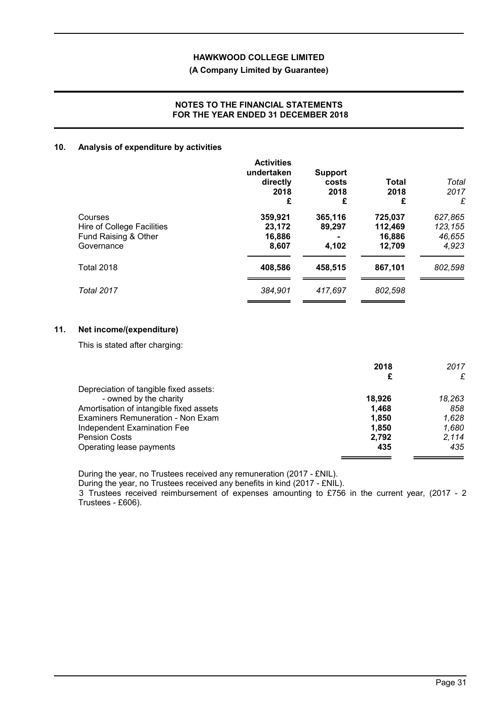# **(A Company Limited by Guarantee)**

# **NOTES TO THE FINANCIAL STATEMENTS FOR THE YEAR ENDED 31 DECEMBER 2018**

# **10. Analysis of expenditure by activities**

|                                                                             | <b>Activities</b><br>undertaken<br>directly<br>2018<br>£ | <b>Support</b><br>costs<br>2018<br>£ | Total<br>2018<br>£                     | Total<br>2017<br>£                    |
|-----------------------------------------------------------------------------|----------------------------------------------------------|--------------------------------------|----------------------------------------|---------------------------------------|
| Courses<br>Hire of College Facilities<br>Fund Raising & Other<br>Governance | 359,921<br>23,172<br>16,886<br>8,607                     | 365,116<br>89,297<br>4,102           | 725,037<br>112,469<br>16,886<br>12,709 | 627,865<br>123,155<br>46,655<br>4,923 |
| <b>Total 2018</b>                                                           | 408,586                                                  | 458,515                              | 867,101                                | 802,598                               |
| <b>Total 2017</b>                                                           | 384.901                                                  | 417.697                              | 802.598                                |                                       |

## **11. Net income/(expenditure)**

This is stated after charging:

|                                         | 2018   | 2017   |
|-----------------------------------------|--------|--------|
|                                         | £      | £      |
| Depreciation of tangible fixed assets:  |        |        |
| - owned by the charity                  | 18.926 | 18,263 |
| Amortisation of intangible fixed assets | 1.468  | 858    |
| Examiners Remuneration - Non Exam       | 1.850  | 1,628  |
| Independent Examination Fee             | 1.850  | 1,680  |
| <b>Pension Costs</b>                    | 2.792  | 2.114  |
| Operating lease payments                | 435    | 435    |

During the year, no Trustees received any remuneration (2017 - £NIL).

During the year, no Trustees received any benefits in kind (2017 - £NIL).

3 Trustees received reimbursement of expenses amounting to £756 in the current year, (2017 - 2 Trustees - £606).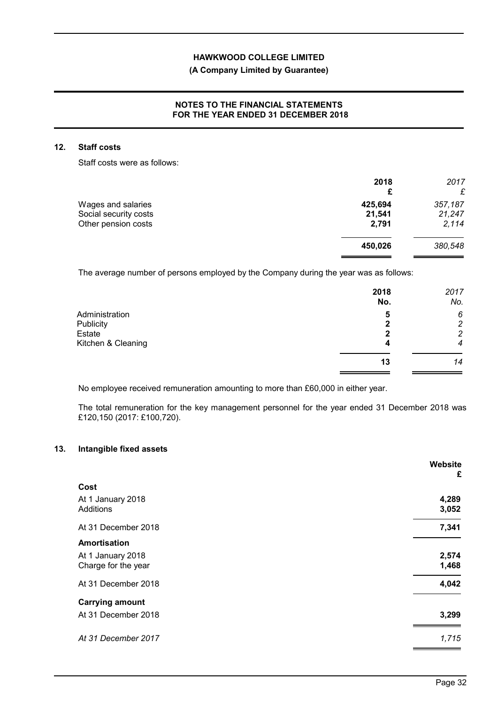# **(A Company Limited by Guarantee)**

# **NOTES TO THE FINANCIAL STATEMENTS FOR THE YEAR ENDED 31 DECEMBER 2018**

# **12. Staff costs**

Staff costs were as follows:

|                       | 2018<br>£ | 2017<br>£ |
|-----------------------|-----------|-----------|
| Wages and salaries    | 425,694   | 357,187   |
| Social security costs | 21,541    | 21,247    |
| Other pension costs   | 2,791     | 2,114     |
|                       | 450,026   | 380,548   |
|                       |           |           |

The average number of persons employed by the Company during the year was as follows:

|                    | 2018<br>No. | 2017<br>No.      |
|--------------------|-------------|------------------|
| Administration     | 5           | 6                |
| Publicity          | 2           | $\overline{c}$   |
| Estate             | 2           | $\overline{c}$   |
| Kitchen & Cleaning | 4           | $\boldsymbol{4}$ |
|                    | 13          | 14               |

No employee received remuneration amounting to more than £60,000 in either year.

The total remuneration for the key management personnel for the year ended 31 December 2018 was £120,150 (2017: £100,720).

### **13. Intangible fixed assets**

|                                                          | Website<br>£   |
|----------------------------------------------------------|----------------|
| Cost                                                     |                |
| At 1 January 2018<br>Additions                           | 4,289<br>3,052 |
| At 31 December 2018                                      | 7,341          |
| Amortisation<br>At 1 January 2018<br>Charge for the year | 2,574<br>1,468 |
| At 31 December 2018                                      | 4,042          |
| <b>Carrying amount</b><br>At 31 December 2018            | 3,299          |
| At 31 December 2017                                      | 1,715          |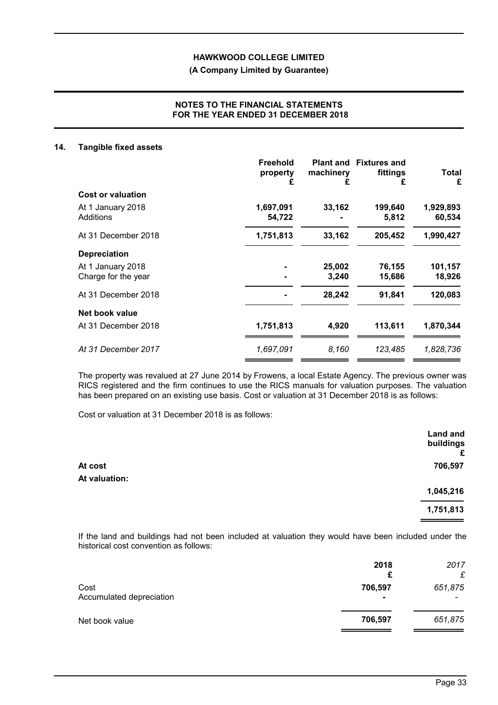# **(A Company Limited by Guarantee)**

# **NOTES TO THE FINANCIAL STATEMENTS FOR THE YEAR ENDED 31 DECEMBER 2018**

#### **14. Tangible fixed assets**

|                                          | Freehold<br>property<br>£ | machinery<br>£  | <b>Plant and Fixtures and</b><br>fittings<br>£ | Total<br>£          |
|------------------------------------------|---------------------------|-----------------|------------------------------------------------|---------------------|
| Cost or valuation                        |                           |                 |                                                |                     |
| At 1 January 2018<br>Additions           | 1,697,091<br>54,722       | 33,162          | 199,640<br>5,812                               | 1,929,893<br>60,534 |
| At 31 December 2018                      | 1,751,813                 | 33,162          | 205,452                                        | 1,990,427           |
| <b>Depreciation</b>                      |                           |                 |                                                |                     |
| At 1 January 2018<br>Charge for the year |                           | 25,002<br>3,240 | 76,155<br>15,686                               | 101,157<br>18,926   |
| At 31 December 2018                      |                           | 28,242          | 91,841                                         | 120,083             |
| Net book value                           |                           |                 |                                                |                     |
| At 31 December 2018                      | 1,751,813                 | 4,920           | 113,611                                        | 1,870,344           |
| At 31 December 2017                      | 1,697,091                 | 8,160           | 123,485                                        | 1,828,736           |

The property was revalued at 27 June 2014 by Frowens, a local Estate Agency. The previous owner was RICS registered and the firm continues to use the RICS manuals for valuation purposes. The valuation has been prepared on an existing use basis. Cost or valuation at 31 December 2018 is as follows:

Cost or valuation at 31 December 2018 is as follows:

|               | <b>Land and</b><br>buildings<br>£ |
|---------------|-----------------------------------|
| At cost       | 706,597                           |
| At valuation: |                                   |
|               | 1,045,216                         |
|               | 1,751,813                         |
|               |                                   |

If the land and buildings had not been included at valuation they would have been included under the historical cost convention as follows:

|                                  | 2018<br>£                 | 2017<br>£ |
|----------------------------------|---------------------------|-----------|
| Cost<br>Accumulated depreciation | 706,597<br>$\blacksquare$ | 651,875   |
| Net book value                   | 706,597                   | 651,875   |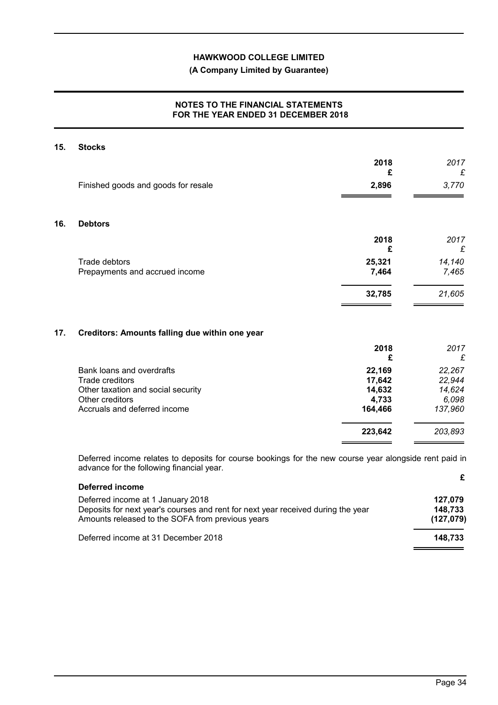# **(A Company Limited by Guarantee)**

# **NOTES TO THE FINANCIAL STATEMENTS FOR THE YEAR ENDED 31 DECEMBER 2018**

| 15. | <b>Stocks</b>                                                                                                                                       |                                                |                                                |
|-----|-----------------------------------------------------------------------------------------------------------------------------------------------------|------------------------------------------------|------------------------------------------------|
|     |                                                                                                                                                     | 2018                                           | 2017                                           |
|     | Finished goods and goods for resale                                                                                                                 | £<br>2,896                                     | £<br>3,770                                     |
| 16. | <b>Debtors</b>                                                                                                                                      |                                                |                                                |
|     |                                                                                                                                                     | 2018<br>£                                      | 2017<br>£                                      |
|     | Trade debtors<br>Prepayments and accrued income                                                                                                     | 25,321<br>7,464                                | 14,140<br>7,465                                |
|     |                                                                                                                                                     | 32,785                                         | 21,605                                         |
| 17. | Creditors: Amounts falling due within one year                                                                                                      |                                                |                                                |
|     |                                                                                                                                                     | 2018<br>£                                      | 2017<br>£                                      |
|     | Bank loans and overdrafts<br><b>Trade creditors</b><br>Other taxation and social security<br>Other creditors<br>Accruals and deferred income        | 22,169<br>17,642<br>14,632<br>4,733<br>164,466 | 22,267<br>22,944<br>14,624<br>6,098<br>137,960 |
|     |                                                                                                                                                     | 223,642                                        | 203,893                                        |
|     | Deferred income relates to deposits for course bookings for the new course year alongside rent paid in<br>advance for the following financial year. |                                                |                                                |

| Deferred income                                                                                                                                                           |                                 |
|---------------------------------------------------------------------------------------------------------------------------------------------------------------------------|---------------------------------|
| Deferred income at 1 January 2018<br>Deposits for next year's courses and rent for next year received during the year<br>Amounts released to the SOFA from previous years | 127.079<br>148.733<br>(127,079) |
| Deferred income at 31 December 2018                                                                                                                                       | 148.733                         |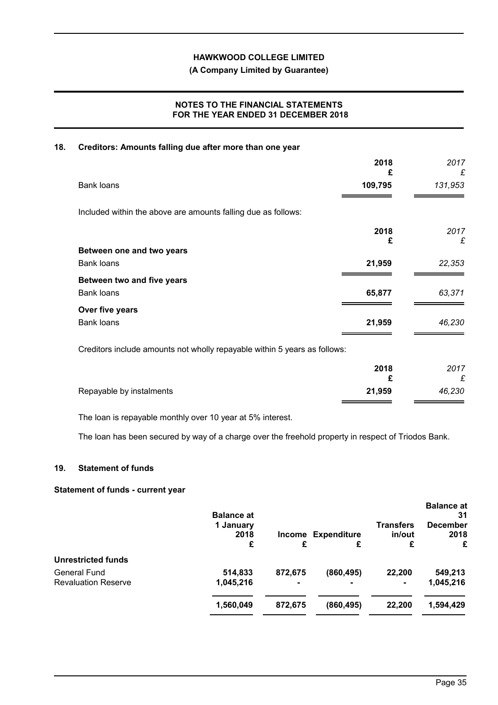# **(A Company Limited by Guarantee)**

# **NOTES TO THE FINANCIAL STATEMENTS FOR THE YEAR ENDED 31 DECEMBER 2018**

### **18. Creditors: Amounts falling due after more than one year**

|                                                                           | 2018<br>£ | 2017<br>£ |
|---------------------------------------------------------------------------|-----------|-----------|
| <b>Bank loans</b>                                                         | 109,795   | 131,953   |
| Included within the above are amounts falling due as follows:             |           |           |
|                                                                           | 2018      | 2017      |
| Between one and two years                                                 | £         | £         |
| <b>Bank loans</b>                                                         | 21,959    | 22,353    |
| Between two and five years                                                |           |           |
| <b>Bank loans</b>                                                         | 65,877    | 63,371    |
| Over five years                                                           |           |           |
| <b>Bank loans</b>                                                         | 21,959    | 46,230    |
| Creditors include amounts not wholly repayable within 5 years as follows: |           |           |

|                          | 2018   | 2017<br>£ |
|--------------------------|--------|-----------|
| Repayable by instalments | 21,959 | 46,230    |

The loan is repayable monthly over 10 year at 5% interest.

The loan has been secured by way of a charge over the freehold property in respect of Triodos Bank.

#### **19. Statement of funds**

# **Statement of funds - current year**

|                            | <b>Balance at</b>      |                |                         |                                 | <b>Balance at</b><br>31      |
|----------------------------|------------------------|----------------|-------------------------|---------------------------------|------------------------------|
|                            | 1 January<br>2018<br>£ | Income<br>£    | <b>Expenditure</b><br>£ | <b>Transfers</b><br>in/out<br>£ | <b>December</b><br>2018<br>£ |
| <b>Unrestricted funds</b>  |                        |                |                         |                                 |                              |
| <b>General Fund</b>        | 514,833                | 872,675        | (860, 495)              | 22,200                          | 549,213                      |
| <b>Revaluation Reserve</b> | 1,045,216              | $\blacksquare$ |                         | $\blacksquare$                  | 1,045,216                    |
|                            | 1,560,049              | 872,675        | (860, 495)              | 22,200                          | 1,594,429                    |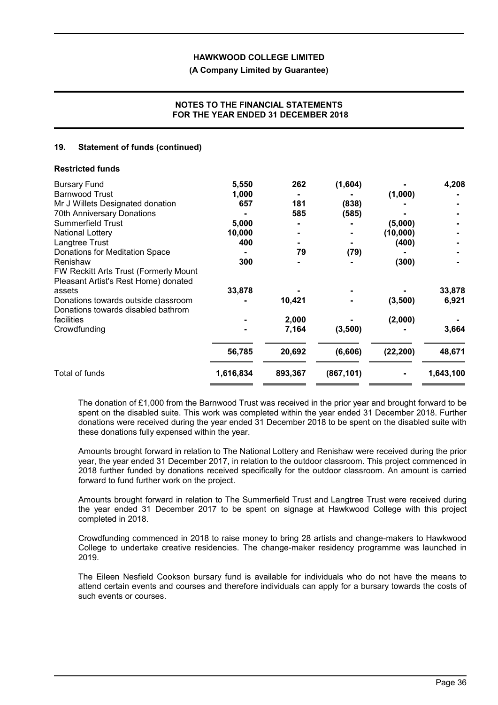### **(A Company Limited by Guarantee)**

## **NOTES TO THE FINANCIAL STATEMENTS FOR THE YEAR ENDED 31 DECEMBER 2018**

### **19. Statement of funds (continued)**

| 4,208     |
|-----------|
|           |
|           |
|           |
|           |
|           |
|           |
|           |
|           |
|           |
|           |
| 33,878    |
| 6,921     |
|           |
| 3,664     |
| 48,671    |
| 1,643,100 |
|           |

The donation of £1,000 from the Barnwood Trust was received in the prior year and brought forward to be spent on the disabled suite. This work was completed within the year ended 31 December 2018. Further donations were received during the year ended 31 December 2018 to be spent on the disabled suite with these donations fully expensed within the year.

Amounts brought forward in relation to The National Lottery and Renishaw were received during the prior year, the year ended 31 December 2017, in relation to the outdoor classroom. This project commenced in 2018 further funded by donations received specifically for the outdoor classroom. An amount is carried forward to fund further work on the project.

Amounts brought forward in relation to The Summerfield Trust and Langtree Trust were received during the year ended 31 December 2017 to be spent on signage at Hawkwood College with this project completed in 2018.

Crowdfunding commenced in 2018 to raise money to bring 28 artists and change-makers to Hawkwood College to undertake creative residencies. The change-maker residency programme was launched in 2019.

The Eileen Nesfield Cookson bursary fund is available for individuals who do not have the means to attend certain events and courses and therefore individuals can apply for a bursary towards the costs of such events or courses.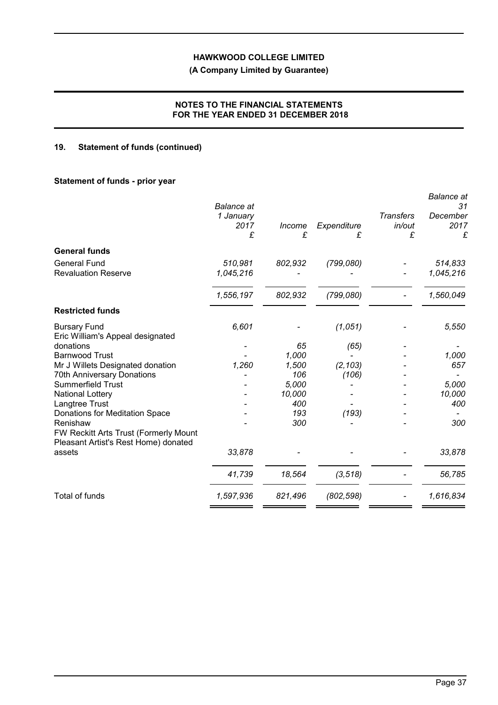# **(A Company Limited by Guarantee)**

# **NOTES TO THE FINANCIAL STATEMENTS FOR THE YEAR ENDED 31 DECEMBER 2018**

# **19. Statement of funds (continued)**

# **Statement of funds - prior year**

|                                                                                           | <b>Balance</b> at |         |             |                            | <b>Balance</b> at<br>31 |
|-------------------------------------------------------------------------------------------|-------------------|---------|-------------|----------------------------|-------------------------|
|                                                                                           | 1 January<br>2017 | Income  | Expenditure | <b>Transfers</b><br>in/out | December<br>2017        |
|                                                                                           | £                 | £       | £           | £                          | £                       |
| <b>General funds</b>                                                                      |                   |         |             |                            |                         |
| <b>General Fund</b>                                                                       | 510,981           | 802,932 | (799,080)   |                            | 514,833                 |
| <b>Revaluation Reserve</b>                                                                | 1,045,216         |         |             |                            | 1,045,216               |
|                                                                                           | 1,556,197         | 802,932 | (799,080)   |                            | 1,560,049               |
| <b>Restricted funds</b>                                                                   |                   |         |             |                            |                         |
| <b>Bursary Fund</b><br>Eric William's Appeal designated                                   | 6,601             |         | (1,051)     |                            | 5,550                   |
| donations                                                                                 |                   | 65      | (65)        |                            |                         |
| <b>Barnwood Trust</b>                                                                     |                   | 1,000   |             |                            | 1,000                   |
| Mr J Willets Designated donation                                                          | 1,260             | 1,500   | (2, 103)    |                            | 657                     |
| <b>70th Anniversary Donations</b>                                                         |                   | 106     | (106)       |                            |                         |
| <b>Summerfield Trust</b>                                                                  |                   | 5,000   |             |                            | 5,000                   |
| National Lottery                                                                          |                   | 10,000  |             |                            | 10,000                  |
| Langtree Trust                                                                            |                   | 400     |             |                            | 400                     |
| Donations for Meditation Space                                                            |                   | 193     | (193)       |                            |                         |
| Renishaw<br>FW Reckitt Arts Trust (Formerly Mount<br>Pleasant Artist's Rest Home) donated |                   | 300     |             |                            | 300                     |
| assets                                                                                    | 33,878            |         |             |                            | 33,878                  |
|                                                                                           | 41,739            | 18,564  | (3, 518)    |                            | 56,785                  |
| <b>Total of funds</b>                                                                     | 1,597,936         | 821,496 | (802, 598)  |                            | 1,616,834               |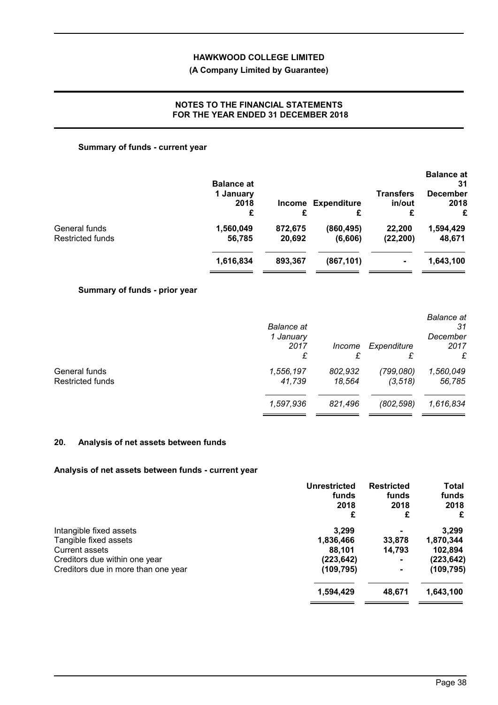# **(A Company Limited by Guarantee)**

# **NOTES TO THE FINANCIAL STATEMENTS FOR THE YEAR ENDED 31 DECEMBER 2018**

# **Summary of funds - current year**

|                  | <b>Balance at</b><br>1 January |         |                    | <b>Transfers</b> | <b>Balance at</b><br>31<br><b>December</b> |
|------------------|--------------------------------|---------|--------------------|------------------|--------------------------------------------|
|                  | 2018                           | Income  | <b>Expenditure</b> | in/out           | 2018                                       |
|                  | £                              | £       |                    | £                | £                                          |
| General funds    | 1,560,049                      | 872,675 | (860, 495)         | 22,200           | 1,594,429                                  |
| Restricted funds | 56,785                         | 20,692  | (6,606)            | (22, 200)        | 48,671                                     |
|                  | 1,616,834                      | 893,367 | (867, 101)         | $\blacksquare$   | 1,643,100                                  |

# **Summary of funds - prior year**

| 1 January<br>2017<br>£ | Income<br>£       | Expenditure<br>£      | 31<br>December<br>2017<br>£ |
|------------------------|-------------------|-----------------------|-----------------------------|
| 1,556,197<br>41,739    | 802,932<br>18.564 | (799,080)<br>(3, 518) | 1,560,049<br>56,785         |
| 1,597,936              | 821,496           | (802, 598)            | 1,616,834                   |
|                        | <b>Balance</b> at |                       |                             |

# **20. Analysis of net assets between funds**

# **Analysis of net assets between funds - current year**

| <b>Unrestricted</b> | <b>Restricted</b> | Total      |
|---------------------|-------------------|------------|
| funds               | funds             | funds      |
| 2018                | 2018              | 2018       |
| £                   | £                 | £          |
| 3.299               |                   | 3,299      |
| 1,836,466           | 33,878            | 1,870,344  |
| 88,101              | 14,793            | 102,894    |
| (223, 642)          |                   | (223, 642) |
| (109, 795)          |                   | (109,795)  |
| 1,594,429           | 48,671            | 1,643,100  |
|                     |                   |            |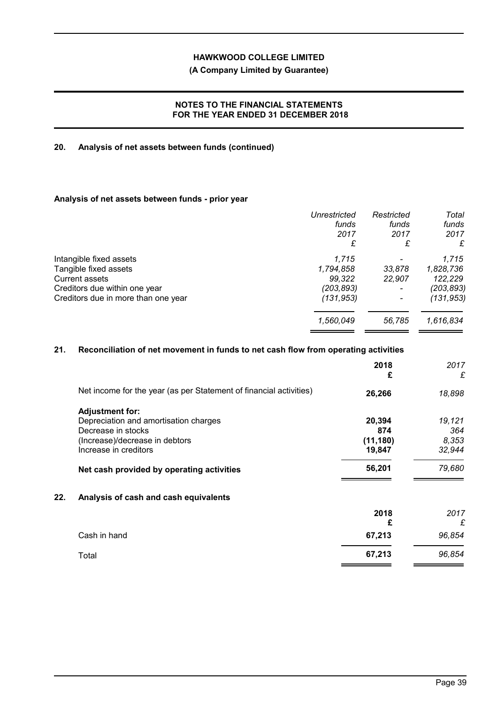# **(A Company Limited by Guarantee)**

# **NOTES TO THE FINANCIAL STATEMENTS FOR THE YEAR ENDED 31 DECEMBER 2018**

# **20. Analysis of net assets between funds (continued)**

# **Analysis of net assets between funds - prior year**

|                                     | <b>Unrestricted</b> | Restricted               | Total      |
|-------------------------------------|---------------------|--------------------------|------------|
|                                     | funds               | funds                    | funds      |
|                                     | 2017                | 2017                     | 2017       |
|                                     | £                   | £                        | £          |
| Intangible fixed assets             | 1,715               | $\overline{\phantom{0}}$ | 1,715      |
| Tangible fixed assets               | 1,794,858           | 33,878                   | 1,828,736  |
| <b>Current assets</b>               | 99.322              | 22.907                   | 122,229    |
| Creditors due within one year       | (203,893)           |                          | (203,893)  |
| Creditors due in more than one year | (131, 953)          |                          | (131, 953) |
|                                     | 1,560,049           | 56.785                   | 1,616,834  |

# **21. Reconciliation of net movement in funds to net cash flow from operating activities**

|     |                                                                    | 2018<br>£ | 2017<br>£ |
|-----|--------------------------------------------------------------------|-----------|-----------|
|     | Net income for the year (as per Statement of financial activities) | 26,266    | 18,898    |
|     | <b>Adjustment for:</b>                                             |           |           |
|     | Depreciation and amortisation charges                              | 20,394    | 19,121    |
|     | Decrease in stocks                                                 | 874       | 364       |
|     | (Increase)/decrease in debtors                                     | (11, 180) | 8,353     |
|     | Increase in creditors                                              | 19,847    | 32,944    |
|     | Net cash provided by operating activities                          | 56,201    | 79,680    |
| 22. | Analysis of cash and cash equivalents                              |           |           |
|     |                                                                    | 2018      | 2017      |
|     |                                                                    | £         | £         |
|     | Cash in hand                                                       | 67,213    | 96,854    |
|     | Total                                                              | 67,213    | 96,854    |
|     |                                                                    |           |           |